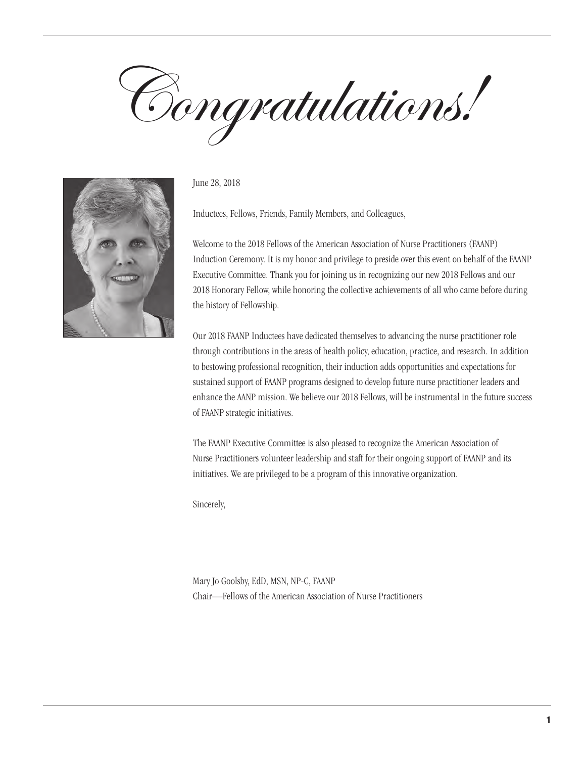Congratulations!



June 28, 2018

Inductees, Fellows, Friends, Family Members, and Colleagues,

Welcome to the 2018 Fellows of the American Association of Nurse Practitioners (FAANP) Induction Ceremony. It is my honor and privilege to preside over this event on behalf of the FAANP Executive Committee. Thank you for joining us in recognizing our new 2018 Fellows and our 2018 Honorary Fellow, while honoring the collective achievements of all who came before during the history of Fellowship.

Our 2018 FAANP Inductees have dedicated themselves to advancing the nurse practitioner role through contributions in the areas of health policy, education, practice, and research. In addition to bestowing professional recognition, their induction adds opportunities and expectations for sustained support of FAANP programs designed to develop future nurse practitioner leaders and enhance the AANP mission. We believe our 2018 Fellows, will be instrumental in the future success of FAANP strategic initiatives.

The FAANP Executive Committee is also pleased to recognize the American Association of Nurse Practitioners volunteer leadership and staff for their ongoing support of FAANP and its initiatives. We are privileged to be a program of this innovative organization.

Sincerely,

Mary Jo Goolsby, EdD, MSN, NP-C, FAANP Chair—Fellows of the American Association of Nurse Practitioners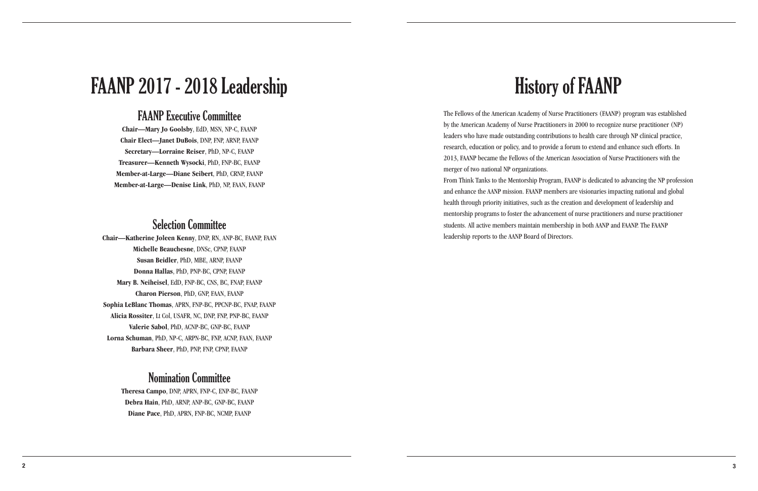# History of FAANP

The Fellows of the American Academy of Nurse Practitioners (FAANP) program was established by the American Academy of Nurse Practitioners in 2000 to recognize nurse practitioner (NP) leaders who have made outstanding contributions to health care through NP clinical practice, research, education or policy, and to provide a forum to extend and enhance such efforts. In 2013, FAANP became the Fellows of the American Association of Nurse Practitioners with the merger of two national NP organizations. From Think Tanks to the Mentorship Program, FAANP is dedicated to advancing the NP profession and enhance the AANP mission. FAANP members are visionaries impacting national and global health through priority initiatives, such as the creation and development of leadership and mentorship programs to foster the advancement of nurse practitioners and nurse practitioner students. All active members maintain membership in both AANP and FAANP. The FAANP leadership reports to the AANP Board of Directors.

# FAANP 2017 - 2018 Leadership

# FAANP Executive Committee

**Chair—Mary Jo Goolsby**, EdD, MSN, NP-C, FAANP **Chair Elect—Janet DuBois**, DNP, FNP, ARNP, FAANP **Secretary—Lorraine Reiser**, PhD, NP-C, FAANP **Treasurer—Kenneth Wysocki**, PhD, FNP-BC, FAANP **Member-at-Large—Diane Seibert**, PhD, CRNP, FAANP **Member-at-Large—Denise Link**, PhD, NP, FAAN, FAANP

# Selection Committee

**Chair—Katherine Joleen Kenny**, DNP, RN, ANP-BC, FAANP, FAAN **Michelle Beauchesne**, DNSc, CPNP, FAANP **Susan Beidler**, PhD, MBE, ARNP, FAANP **Donna Hallas**, PhD, PNP-BC, CPNP, FAANP **Mary B. Neiheisel**, EdD, FNP-BC, CNS, BC, FNAP, FAANP **Charon Pierson**, PhD, GNP, FAAN, FAANP **Sophia LeBlanc Thomas**, APRN, FNP-BC, PPCNP-BC, FNAP, FAANP **Alicia Rossiter**, Lt Col, USAFR, NC, DNP, FNP, PNP-BC, FAANP **Valerie Sabol**, PhD, ACNP-BC, GNP-BC, FAANP **Lorna Schuman**, PhD, NP-C, ARPN-BC, FNP, ACNP, FAAN, FAANP **Barbara Sheer**, PhD, PNP, FNP, CPNP, FAANP

# Nomination Committee

**Theresa Campo**, DNP, APRN, FNP-C, ENP-BC, FAANP **Debra Hain**, PhD, ARNP, ANP-BC, GNP-BC, FAANP **Diane Pace**, PhD, APRN, FNP-BC, NCMP, FAANP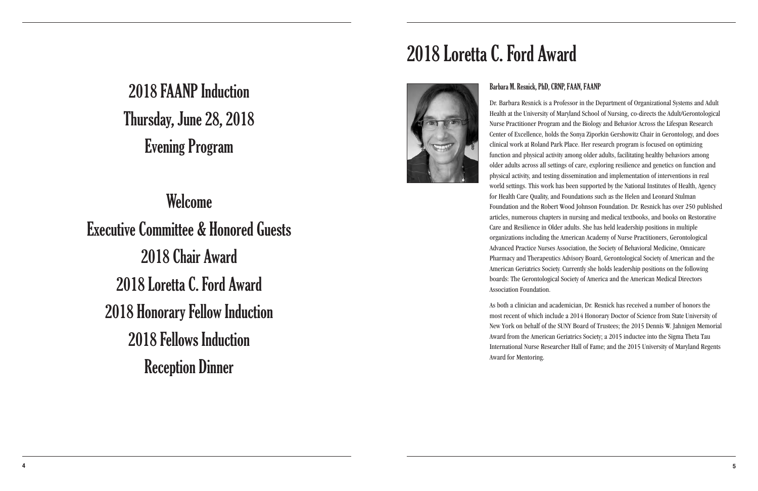# 2018 FAANP Induction Thursday, June 28, 2018 Evening Program

Welcome

Executive Committee & Honored Guests 2018 Chair Award 2018 Loretta C. Ford Award 2018 Honorary Fellow Induction 2018 Fellows Induction Reception Dinner



# 2018 Loretta C. Ford Award

# Barbara M. Resnick, PhD, CRNP, FAAN, FAANP

Dr. Barbara Resnick is a Professor in the Department of Organizational Systems and Adult Health at the University of Maryland School of Nursing, co-directs the Adult/Gerontological Nurse Practitioner Program and the Biology and Behavior Across the Lifespan Research Center of Excellence, holds the Sonya Ziporkin Gershowitz Chair in Gerontology, and does clinical work at Roland Park Place. Her research program is focused on optimizing function and physical activity among older adults, facilitating healthy behaviors among older adults across all settings of care, exploring resilience and genetics on function and physical activity, and testing dissemination and implementation of interventions in real world settings. This work has been supported by the National Institutes of Health, Agency for Health Care Quality, and Foundations such as the Helen and Leonard Stulman Foundation and the Robert Wood Johnson Foundation. Dr. Resnick has over 250 published articles, numerous chapters in nursing and medical textbooks, and books on Restorative Care and Resilience in Older adults. She has held leadership positions in multiple organizations including the American Academy of Nurse Practitioners, Gerontological Advanced Practice Nurses Association, the Society of Behavioral Medicine, Omnicare Pharmacy and Therapeutics Advisory Board, Gerontological Society of American and the American Geriatrics Society. Currently she holds leadership positions on the following boards: The Gerontological Society of America and the American Medical Directors Association Foundation.

As both a clinician and academician, Dr. Resnick has received a number of honors the most recent of which include a 2014 Honorary Doctor of Science from State University of New York on behalf of the SUNY Board of Trustees; the 2015 Dennis W. Jahnigen Memorial Award from the American Geriatrics Society; a 2015 inductee into the Sigma Theta Tau International Nurse Researcher Hall of Fame; and the 2015 University of Maryland Regents Award for Mentoring.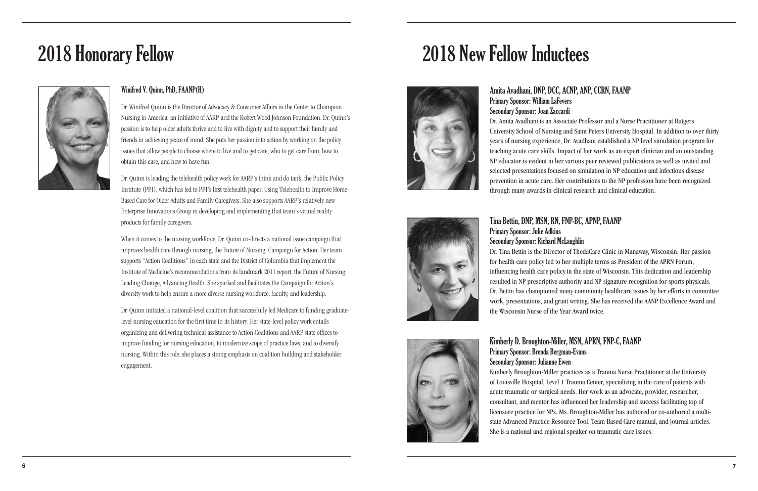## Winifred V. Quinn, PhD, FAANP(H)

Dr. Winifred Quinn is the Director of Advocacy & Consumer Affairs in the Center to Champion Nursing in America, an initiative of AARP and the Robert Wood Johnson Foundation. Dr. Quinn's passion is to help older adults thrive and to live with dignity and to support their family and friends in achieving peace of mind. She puts her passion into action by working on the policy issues that allow people to choose where to live and to get care, who to get care from, how to obtain this care, and how to have fun.

Dr. Quinn is leading the telehealth policy work for AARP's think and do tank, the Public Policy Institute (PPI), which has led to PPI's first telehealth paper, Using Telehealth to Improve Home-Based Care for Older Adults and Family Caregivers. She also supports AARP's relatively new Enterprise Innovations Group in developing and implementing that team's virtual reality products for family caregivers.

When it comes to the nursing workforce, Dr. Quinn co-directs a national issue campaign that improves health care through nursing, the Future of Nursing: Campaign for Action. Her team supports "Action Coalitions" in each state and the District of Columbia that implement the Institute of Medicine's recommendations from its landmark 2011 report, the Future of Nursing: Leading Change, Advancing Health. She sparked and facilitates the Campaign for Action's diversity work to help ensure a more diverse nursing workforce, faculty, and leadership.

Dr. Quinn initiated a national-level coalition that successfully led Medicare to funding graduatelevel nursing education for the first time in its history. Her state-level policy work entails organizing and delivering technical assistance to Action Coalitions and AARP state offices to improve funding for nursing education, to modernize scope of practice laws, and to diversify nursing. Within this role, she places a strong emphasis on coalition building and stakeholder engagement.

# 2018 Honorary Fellow



Amita Avadhani, DNP, DCC, ACNP, ANP, CCRN, FAANP Primary Sponsor: William LaFevers Secondary Sponsor: Joan Zaccardi Dr. Amita Avadhani is an Associate Professor and a Nurse Practitioner at Rutgers University School of Nursing and Saint Peters University Hospital. In addition to over thirty years of nursing experience, Dr. Avadhani established a NP level simulation program for teaching acute care skills. Impact of her work as an expert clinician and an outstanding NP educator is evident in her various peer reviewed publications as well as invited and selected presentations focused on simulation in NP education and infectious disease prevention in acute care. Her contributions to the NP profession have been recognized through many awards in clinical research and clinical education.







Dr. Tina Bettin is the Director of ThedaCare Clinic in Manaway, Wisconsin. Her passion for health care policy led to her multiple terms as President of the APRN Forum, influencing health care policy in the state of Wisconsin. This dedication and leadership resulted in NP prescriptive authority and NP signature recognition for sports physicals. Dr. Bettin has championed many community healthcare issues by her efforts in committee work, presentations, and grant writing. She has received the AANP Excellence Award and

Kimberly D. Broughton-Miller, MSN, APRN, FNP-C, FAANP Primary Sponsor: Brenda Bergman-Evans Secondary Sponsor: Julianne Ewen Kimberly Broughton-Miller practices as a Trauma Nurse Practitioner at the University of Louisville Hospital, Level 1 Trauma Center, specializing in the care of patients with acute traumatic or surgical needs. Her work as an advocate, provider, researcher, consultant, and mentor has influenced her leadership and success facilitating top of licensure practice for NPs. Ms. Broughton-Miller has authored or co-authored a multistate Advanced Practice Resource Tool, Team Based Care manual, and journal articles. She is a national and regional speaker on traumatic care issues.

# 2018 New Fellow Inductees

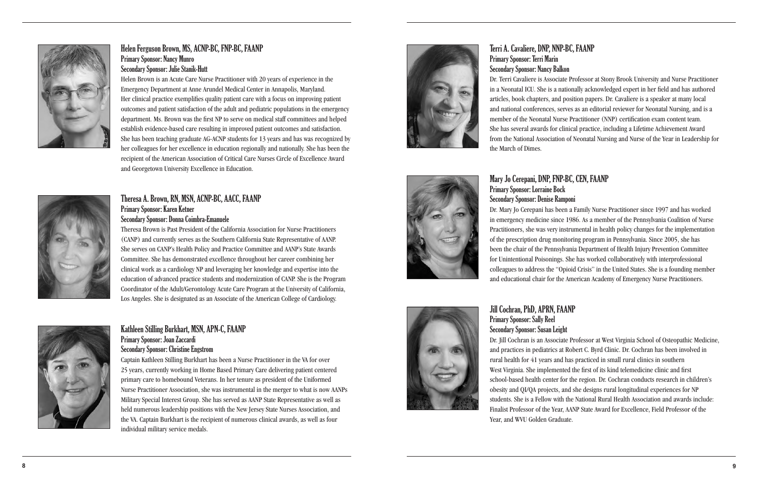Terri A. Cavaliere, DNP, NNP-BC, FAANP Primary Sponsor: Terri Marin Secondary Sponsor: Nancy Balkon Dr. Terri Cavaliere is Associate Professor at Stony Brook University and Nurse Practitioner in a Neonatal ICU. She is a nationally acknowledged expert in her field and has authored articles, book chapters, and position papers. Dr. Cavaliere is a speaker at many local and national conferences, serves as an editorial reviewer for Neonatal Nursing, and is a member of the Neonatal Nurse Practitioner (NNP) certification exam content team. She has several awards for clinical practice, including a Lifetime Achievement Award from the National Association of Neonatal Nursing and Nurse of the Year in Leadership for the March of Dimes.

# Mary Jo Cerepani, DNP, FNP-BC, CEN, FAANP

Primary Sponsor: Lorraine Bock Secondary Sponsor: Denise Ramponi Dr. Mary Jo Cerepani has been a Family Nurse Practitioner since 1997 and has worked in emergency medicine since 1986. As a member of the Pennsylvania Coalition of Nurse Practitioners, she was very instrumental in health policy changes for the implementation of the prescription drug monitoring program in Pennsylvania. Since 2005, she has been the chair of the Pennsylvania Department of Health Injury Prevention Committee for Unintentional Poisonings. She has worked collaboratively with interprofessional colleagues to address the "Opioid Crisis" in the United States. She is a founding member and educational chair for the American Academy of Emergency Nurse Practitioners.



# Jill Cochran, PhD, APRN, FAANP Primary Sponsor: Sally Reel Secondary Sponsor: Susan Leight

Dr. Jill Cochran is an Associate Professor at West Virginia School of Osteopathic Medicine, and practices in pediatrics at Robert C. Byrd Clinic. Dr. Cochran has been involved in rural health for 41 years and has practiced in small rural clinics in southern West Virginia. She implemented the first of its kind telemedicine clinic and first school-based health center for the region. Dr. Cochran conducts research in children's obesity and QI/QA projects, and she designs rural longitudinal experiences for NP students. She is a Fellow with the National Rural Health Association and awards include: Finalist Professor of the Year, AANP State Award for Excellence, Field Professor of the Year, and WVU Golden Graduate.



# Helen Ferguson Brown, MS, ACNP-BC, FNP-BC, FAANP Primary Sponsor: Nancy Munro Secondary Sponsor: Julie Stanik-Hutt

Helen Brown is an Acute Care Nurse Practitioner with 20 years of experience in the Emergency Department at Anne Arundel Medical Center in Annapolis, Maryland. Her clinical practice exemplifies quality patient care with a focus on improving patient outcomes and patient satisfaction of the adult and pediatric populations in the emergency department. Ms. Brown was the first NP to serve on medical staff committees and helped establish evidence-based care resulting in improved patient outcomes and satisfaction. She has been teaching graduate AG-ACNP students for 13 years and has was recognized by her colleagues for her excellence in education regionally and nationally. She has been the recipient of the American Association of Critical Care Nurses Circle of Excellence Award and Georgetown University Excellence in Education.



## Theresa A. Brown, RN, MSN, ACNP-BC, AACC, FAANP Primary Sponsor: Karen Ketner Secondary Sponsor: Donna Coimbra-Emanuele

Theresa Brown is Past President of the California Association for Nurse Practitioners (CANP) and currently serves as the Southern California State Representative of AANP. She serves on CANP's Health Policy and Practice Committee and AANP's State Awards Committee. She has demonstrated excellence throughout her career combining her clinical work as a cardiology NP and leveraging her knowledge and expertise into the education of advanced practice students and modernization of CANP. She is the Program Coordinator of the Adult/Gerontology Acute Care Program at the University of California, Los Angeles. She is designated as an Associate of the American College of Cardiology.



## Kathleen Stilling Burkhart, MSN, APN-C, FAANP Primary Sponsor: Joan Zaccardi Secondary Sponsor: Christine Engstrom

Captain Kathleen Stilling Burkhart has been a Nurse Practitioner in the VA for over 25 years, currently working in Home Based Primary Care delivering patient centered primary care to homebound Veterans. In her tenure as president of the Uniformed Nurse Practitioner Association, she was instrumental in the merger to what is now AANPs Military Special Interest Group. She has served as AANP State Representative as well as held numerous leadership positions with the New Jersey State Nurses Association, and the VA. Captain Burkhart is the recipient of numerous clinical awards, as well as four individual military service medals.

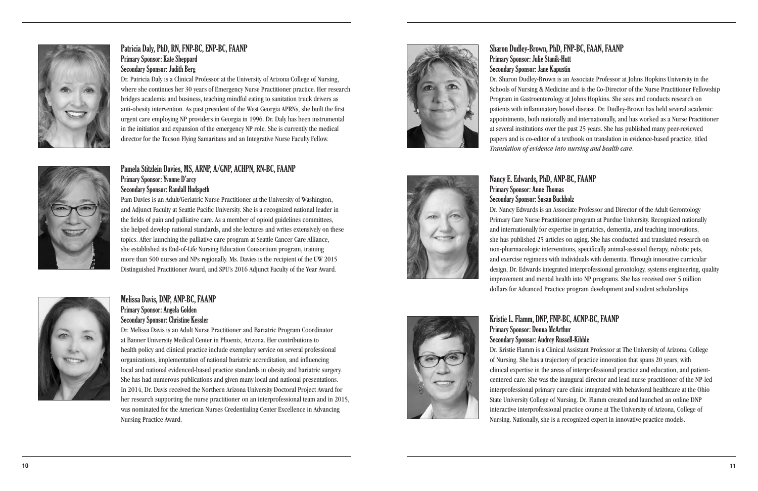Sharon Dudley-Brown, PhD, FNP-BC, FAAN, FAANP Primary Sponsor: Julie Stanik-Hutt Secondary Sponsor: Jane Kapustin Dr. Sharon Dudley-Brown is an Associate Professor at Johns Hopkins University in the Schools of Nursing & Medicine and is the Co-Director of the Nurse Practitioner Fellowship Program in Gastroenterology at Johns Hopkins. She sees and conducts research on patients with inflammatory bowel disease. Dr. Dudley-Brown has held several academic appointments, both nationally and internationally, and has worked as a Nurse Practitioner at several institutions over the past 25 years. She has published many peer-reviewed papers and is co-editor of a textbook on translation in evidence-based practice, titled *Translation of evidence into nursing and health care*.





Dr. Nancy Edwards is an Associate Professor and Director of the Adult Gerontology Primary Care Nurse Practitioner program at Purdue University. Recognized nationally and internationally for expertise in geriatrics, dementia, and teaching innovations, she has published 25 articles on aging. She has conducted and translated research on non-pharmacologic interventions, specifically animal-assisted therapy, robotic pets, and exercise regimens with individuals with dementia. Through innovative curricular design, Dr. Edwards integrated interprofessional gerontology, systems engineering, quality improvement and mental health into NP programs. She has received over 5 million dollars for Advanced Practice program development and student scholarships.

Kristie L. Flamm, DNP, FNP-BC, ACNP-BC, FAANP Primary Sponsor: Donna McArthur Secondary Sponsor: Audrey Russell-Kibble Dr. Kristie Flamm is a Clinical Assistant Professor at The University of Arizona, College of Nursing. She has a trajectory of practice innovation that spans 20 years, with clinical expertise in the areas of interprofessional practice and education, and patientcentered care. She was the inaugural director and lead nurse practitioner of the NP-led interprofessional primary care clinic integrated with behavioral healthcare at the Ohio State University College of Nursing. Dr. Flamm created and launched an online DNP interactive interprofessional practice course at The University of Arizona, College of Nursing. Nationally, she is a recognized expert in innovative practice models.



# Patricia Daly, PhD, RN, FNP-BC, ENP-BC, FAANP Primary Sponsor: Kate Sheppard Secondary Sponsor: Judith Berg

Dr. Patricia Daly is a Clinical Professor at the University of Arizona College of Nursing, where she continues her 30 years of Emergency Nurse Practitioner practice. Her research bridges academia and business, teaching mindful eating to sanitation truck drivers as anti-obesity intervention. As past president of the West Georgia APRNs, she built the first urgent care employing NP providers in Georgia in 1996. Dr. Daly has been instrumental in the initiation and expansion of the emergency NP role. She is currently the medical director for the Tucson Flying Samaritans and an Integrative Nurse Faculty Fellow.

# Pamela Stitzlein Davies, MS, ARNP, A/GNP, ACHPN, RN-BC, FAANP Primary Sponsor: Yvonne D'arcy

## Secondary Sponsor: Randall Hudspeth

Pam Davies is an Adult/Geriatric Nurse Practitioner at the University of Washington, and Adjunct Faculty at Seattle Pacific University. She is a recognized national leader in the fields of pain and palliative care. As a member of opioid guidelines committees, she helped develop national standards, and she lectures and writes extensively on these topics. After launching the palliative care program at Seattle Cancer Care Alliance, she established its End-of-Life Nursing Education Consortium program, training more than 500 nurses and NPs regionally. Ms. Davies is the recipient of the UW 2015 Distinguished Practitioner Award, and SPU's 2016 Adjunct Faculty of the Year Award.



# Melissa Davis, DNP, ANP-BC, FAANP Primary Sponsor: Angela Golden Secondary Sponsor: Christine Kessler

Dr. Melissa Davis is an Adult Nurse Practitioner and Bariatric Program Coordinator at Banner University Medical Center in Phoenix, Arizona. Her contributions to health policy and clinical practice include exemplary service on several professional organizations, implementation of national bariatric accreditation, and influencing local and national evidenced-based practice standards in obesity and bariatric surgery. She has had numerous publications and given many local and national presentations. In 2014, Dr. Davis received the Northern Arizona University Doctoral Project Award for her research supporting the nurse practitioner on an interprofessional team and in 2015, was nominated for the American Nurses Credentialing Center Excellence in Advancing Nursing Practice Award.

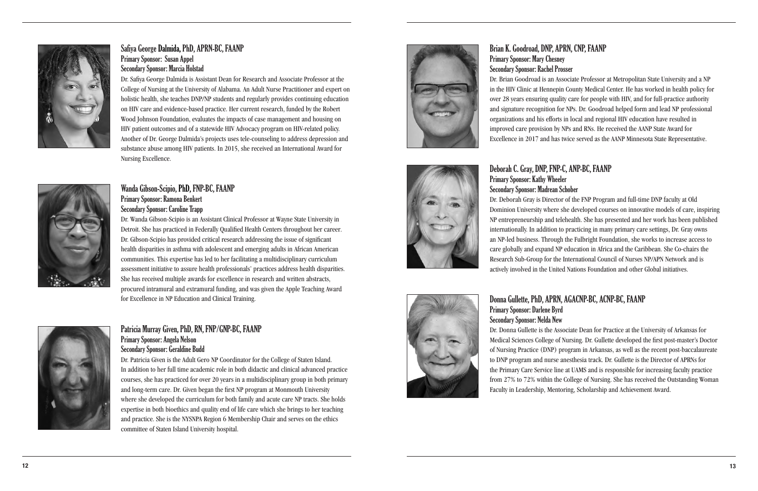Brian K. Goodroad, DNP, APRN, CNP, FAANP Primary Sponsor: Mary Chesney Secondary Sponsor: Rachel Prosser Dr. Brian Goodroad is an Associate Professor at Metropolitan State University and a NP in the HIV Clinic at Hennepin County Medical Center. He has worked in health policy for over 28 years ensuring quality care for people with HIV, and for full-practice authority and signature recognition for NPs. Dr. Goodroad helped form and lead NP professional organizations and his efforts in local and regional HIV education have resulted in improved care provision by NPs and RNs. He received the AANP State Award for Excellence in 2017 and has twice served as the AANP Minnesota State Representative.





## Deborah C. Gray, DNP, FNP-C, ANP-BC, FAANP Primary Sponsor: Kathy Wheeler

## Secondary Sponsor: Madrean Schober

Dr. Deborah Gray is Director of the FNP Program and full-time DNP faculty at Old Dominion University where she developed courses on innovative models of care, inspiring NP entrepreneurship and telehealth. She has presented and her work has been published internationally. In addition to practicing in many primary care settings, Dr. Gray owns an NP-led business. Through the Fulbright Foundation, she works to increase access to care globally and expand NP education in Africa and the Caribbean. She Co-chairs the Research Sub-Group for the International Council of Nurses NP/APN Network and is actively involved in the United Nations Foundation and other Global initiatives.

Donna Gullette, PhD, APRN, AGACNP-BC, ACNP-BC, FAANP Primary Sponsor: Darlene Byrd Secondary Sponsor: Nelda New Dr. Donna Gullette is the Associate Dean for Practice at the University of Arkansas for Medical Sciences College of Nursing. Dr. Gullette developed the first post-master's Doctor of Nursing Practice (DNP) program in Arkansas, as well as the recent post-baccalaureate to DNP program and nurse anesthesia track. Dr. Gullette is the Director of APRNs for the Primary Care Service line at UAMS and is responsible for increasing faculty practice from 27% to 72% within the College of Nursing. She has received the Outstanding Woman Faculty in Leadership, Mentoring, Scholarship and Achievement Award.



# Safiya George Dalmida , PhD, APRN-BC, FAANP Primary Sponsor: Susan Appel Secondary Sponsor: Marcia Holstad

Dr. Safiya George Dalmida is Assistant Dean for Research and Associate Professor at the College of Nursing at the University of Alabama. An Adult Nurse Practitioner and expert on holistic health, she teaches DNP/NP students and regularly provides continuing education on HIV care and evidence-based practice. Her current research, funded by the Robert Wood Johnson Foundation, evaluates the impacts of case management and housing on HIV patient outcomes and of a statewide HIV Advocacy program on HIV-related policy. Another of Dr. George Dalmida's projects uses tele-counseling to address depression and substance abuse among HIV patients. In 2015, she received an International Award for Nursing Excellence.



## Wanda Gibson-Scipio, PhD, FNP-BC, FAANP Primary Sponsor: Ramona Benkert Secondary Sponsor: Caroline Trapp

Dr. Wanda Gibson-Scipio is an Assistant Clinical Professor at Wayne State University in Detroit. She has practiced in Federally Qualified Health Centers throughout her career. Dr. Gibson-Scipio has provided critical research addressing the issue of significant health disparities in asthma with adolescent and emerging adults in African American communities. This expertise has led to her facilitating a multidisciplinary curriculum assessment initiative to assure health professionals' practices address health disparities. She has received multiple awards for excellence in research and written abstracts, procured intramural and extramural funding, and was given the Apple Teaching Award for Excellence in NP Education and Clinical Training.



## Patricia Murray Given, PhD, RN, FNP/GN P-BC, FAANP Primary Sponsor: Angela Nelson Secondary Sponsor: Geraldine Budd

Dr. Patricia Given is the Adult Gero NP Coordinator for the College of Staten Island. In addition to her full time academic role in both didactic and clinical advanced practice courses, she has practiced for over 20 years in a multidisciplinary group in both primary and long-term care. Dr. Given began the first NP program at Monmouth University where she developed the curriculum for both family and acute care NP tracts. She holds expertise in both bioethics and quality end of life care which she brings to her teaching and practice. She is the NYSNPA Region 6 Membership Chair and serves on the ethics committee of Staten Island University hospital.

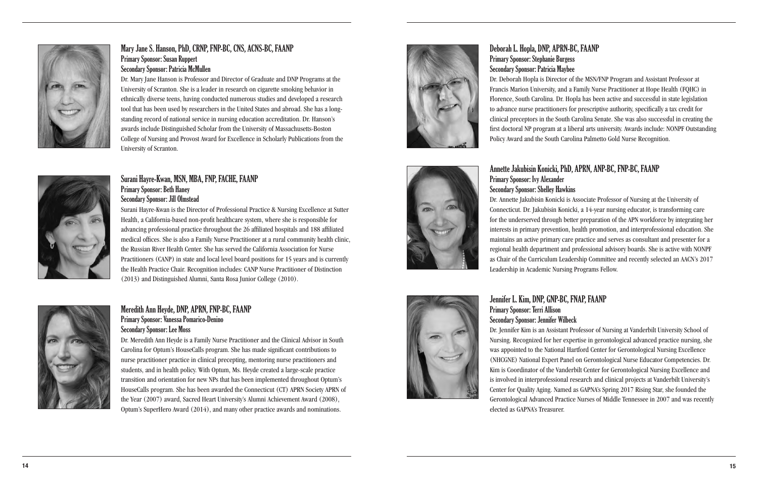Deborah L. Hopla, DNP, APRN-BC, FAANP Primary Sponsor: Stephanie Burgess Secondary Sponsor: Patricia Maybee Dr. Deborah Hopla is Director of the MSN/FNP Program and Assistant Professor at Francis Marion University, and a Family Nurse Practitioner at Hope Health (FQHC) in Florence, South Carolina. Dr. Hopla has been active and successful in state legislation to advance nurse practitioners for prescriptive authority, specifically a tax credit for clinical preceptors in the South Carolina Senate. She was also successful in creating the first doctoral NP program at a liberal arts university. Awards include: NONPF Outstanding Policy Award and the South Carolina Palmetto Gold Nurse Recognition.



# Annette Jakubisin Konicki, PhD, APRN, ANP-BC, FNP-BC, FAANP





Dr. Annette Jakubisin Konicki is Associate Professor of Nursing at the University of Connecticut. Dr. Jakubisin Konicki, a 14-year nursing educator, is transforming care for the underserved through better preparation of the APN workforce by integrating her interests in primary prevention, health promotion, and interprofessional education. She maintains an active primary care practice and serves as consultant and presenter for a regional health department and professional advisory boards. She is active with NONPF as Chair of the Curriculum Leadership Committee and recently selected an AACN's 2017

Jennifer L. Kim, DNP, GNP-BC, FNAP, FAANP Primary Sponsor: Terri Allison Secondary Sponsor: Jennifer Wilbeck Dr. Jennifer Kim is an Assistant Professor of Nursing at Vanderbilt University School of Nursing. Recognized for her expertise in gerontological advanced practice nursing, she was appointed to the National Hartford Center for Gerontological Nursing Excellence (NHCGNE) National Expert Panel on Gerontological Nurse Educator Competencies. Dr. Kim is Coordinator of the Vanderbilt Center for Gerontological Nursing Excellence and is involved in interprofessional research and clinical projects at Vanderbilt University's Center for Quality Aging. Named as GAPNA's Spring 2017 Rising Star, she founded the Gerontological Advanced Practice Nurses of Middle Tennessee in 2007 and was recently elected as GAPNA's Treasurer.



# Mary Jane S. Hanson, PhD, CRNP, FNP-BC, CNS, ACNS-BC, FAANP Primary Sponsor: Susan Ruppert Secondary Sponsor: Patricia McMullen

Dr. Mary Jane Hanson is Professor and Director of Graduate and DNP Programs at the University of Scranton. She is a leader in research on cigarette smoking behavior in ethnically diverse teens, having conducted numerous studies and developed a research tool that has been used by researchers in the United States and abroad. She has a longstanding record of national service in nursing education accreditation. Dr. Hanson's awards include Distinguished Scholar from the University of Massachusetts-Boston College of Nursing and Provost Award for Excellence in Scholarly Publications from the University of Scranton.

## Surani Hayre-Kwan, MSN, MBA, FNP, FACHE, FAANP Primary Sponsor: Beth Haney Secondary Sponsor: Jill Olmstead

Surani Hayre-Kwan is the Director of Professional Practice & Nursing Excellence at Sutter Health, a California-based non-profit healthcare system, where she is responsible for advancing professional practice throughout the 26 affiliated hospitals and 188 affiliated medical offices. She is also a Family Nurse Practitioner at a rural community health clinic, the Russian River Health Center. She has served the California Association for Nurse Practitioners (CANP) in state and local level board positions for 15 years and is currently the Health Practice Chair. Recognition includes: CANP Nurse Practitioner of Distinction (2013) and Distinguished Alumni, Santa Rosa Junior College (2010).



# Meredith Ann Heyde, DNP, APRN, FNP-BC, FAANP Primary Sponsor: Vanessa Pomarico-Denino Secondary Sponsor: Lee Moss

Dr. Meredith Ann Heyde is a Family Nurse Practitioner and the Clinical Advisor in South Carolina for Optum's HouseCalls program. She has made significant contributions to nurse practitioner practice in clinical precepting, mentoring nurse practitioners and students, and in health policy. With Optum, Ms. Heyde created a large-scale practice transition and orientation for new NPs that has been implemented throughout Optum's HouseCalls program. She has been awarded the Connecticut (CT) APRN Society APRN of the Year (2007) award, Sacred Heart University's Alumni Achievement Award (2008), Optum's SuperHero Award (2014), and many other practice awards and nominations.

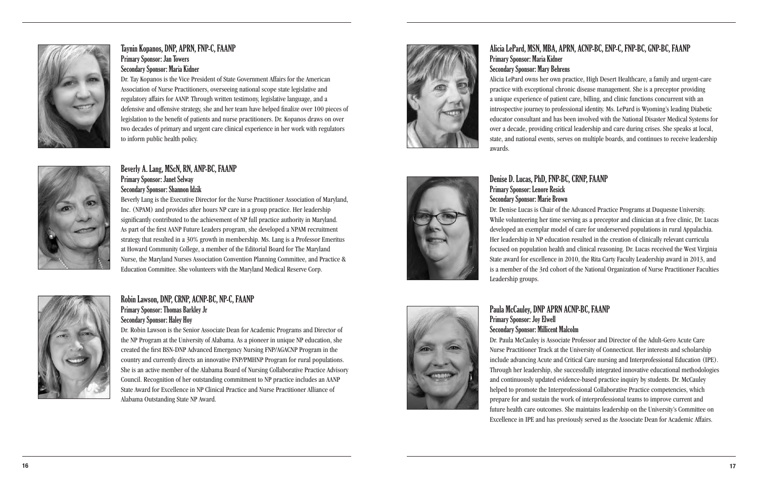# Alicia LePard, MSN, MBA, APRN, ACNP-BC, ENP-C, FNP-BC, GNP-BC, FAANP

Primary Sponsor: Maria Kidner Secondary Sponsor: Mary Behrens Alicia LePard owns her own practice, High Desert Healthcare, a family and urgent-care practice with exceptional chronic disease management. She is a preceptor providing a unique experience of patient care, billing, and clinic functions concurrent with an introspective journey to professional identity. Ms. LePard is Wyoming's leading Diabetic educator consultant and has been involved with the National Disaster Medical Systems for over a decade, providing critical leadership and care during crises. She speaks at local, state, and national events, serves on multiple boards, and continues to receive leadership awards.



# Denise D. Lucas, PhD, FNP-BC, CRNP, FAANP

Primary Sponsor: Lenore Resick Secondary Sponsor: Marie Brown Dr. Denise Lucas is Chair of the Advanced Practice Programs at Duquesne University. While volunteering her time serving as a preceptor and clinician at a free clinic, Dr. Lucas developed an exemplar model of care for underserved populations in rural Appalachia. Her leadership in NP education resulted in the creation of clinically relevant curricula focused on population health and clinical reasoning. Dr. Lucas received the West Virginia State award for excellence in 2010, the Rita Carty Faculty Leadership award in 2013, and is a member of the 3rd cohort of the National Organization of Nurse Practitioner Faculties Leadership groups.



# Paula McCauley, DNP APRN ACNP-BC, FAANP

Primary Sponsor: Joy Elwell Secondary Sponsor: Millicent Malcolm Dr. Paula McCauley is Associate Professor and Director of the Adult-Gero Acute Care Nurse Practitioner Track at the University of Connecticut. Her interests and scholarship include advancing Acute and Critical Care nursing and Interprofessional Education (IPE). Through her leadership, she successfully integrated innovative educational methodologies and continuously updated evidence-based practice inquiry by students. Dr. McCauley helped to promote the Interprofessional Collaborative Practice competencies, which prepare for and sustain the work of interprofessional teams to improve current and future health care outcomes. She maintains leadership on the University's Committee on Excellence in IPE and has previously served as the Associate Dean for Academic Affairs.



# Taynin Kopanos, DNP, APRN, FNP-C, FAANP Primary Sponsor: Jan Towers Secondary Sponsor: Maria Kidner

Dr. Tay Kopanos is the Vice President of State Government Affairs for the American Association of Nurse Practitioners, overseeing national scope state legislative and regulatory affairs for AANP. Through written testimony, legislative language, and a defensive and offensive strategy, she and her team have helped finalize over 100 pieces of legislation to the benefit of patients and nurse practitioners. Dr. Kopanos draws on over two decades of primary and urgent care clinical experience in her work with regulators to inform public health policy.



# Beverly A. Lang, MScN, RN, ANP-BC, FAANP Primary Sponsor: Janet Selway

Secondary Sponsor: Shannon Idzik Beverly Lang is the Executive Director for the Nurse Practitioner Association of Maryland,

Inc. (NPAM) and provides after hours NP care in a group practice. Her leadership significantly contributed to the achievement of NP full practice authority in Maryland. As part of the first AANP Future Leaders program, she developed a NPAM recruitment strategy that resulted in a 30% growth in membership. Ms. Lang is a Professor Emeritus at Howard Community College, a member of the Editorial Board for The Maryland Nurse, the Maryland Nurses Association Convention Planning Committee, and Practice & Education Committee. She volunteers with the Maryland Medical Reserve Corp.



## Robin Lawson, DNP, CRNP, ACNP-BC, NP-C, FAANP Primary Sponsor: Thomas Barkley Jr Secondary Sponsor: Haley Hoy

Dr. Robin Lawson is the Senior Associate Dean for Academic Programs and Director of the NP Program at the University of Alabama. As a pioneer in unique NP education, she created the first BSN-DNP Advanced Emergency Nursing FNP/AGACNP Program in the country and currently directs an innovative FNP/PMHNP Program for rural populations. She is an active member of the Alabama Board of Nursing Collaborative Practice Advisory Council. Recognition of her outstanding commitment to NP practice includes an AANP State Award for Excellence in NP Clinical Practice and Nurse Practitioner Alliance of Alabama Outstanding State NP Award.

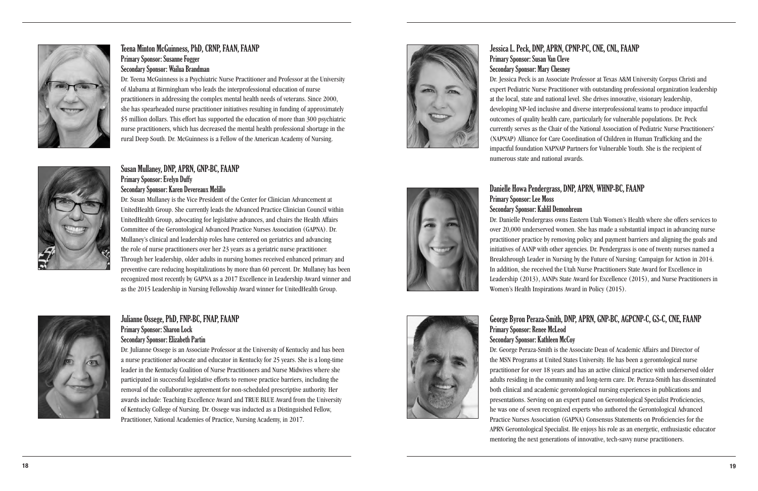Jessica L. Peck, DNP, APRN, CPNP-PC, CNE, CNL, FAANP Primary Sponsor: Susan Van Cleve Secondary Sponsor: Mary Chesney Dr. Jessica Peck is an Associate Professor at Texas A&M University Corpus Christi and expert Pediatric Nurse Practitioner with outstanding professional organization leadership at the local, state and national level. She drives innovative, visionary leadership, developing NP-led inclusive and diverse interprofessional teams to produce impactful outcomes of quality health care, particularly for vulnerable populations. Dr. Peck currently serves as the Chair of the National Association of Pediatric Nurse Practitioners' (NAPNAP) Alliance for Care Coordination of Children in Human Trafficking and the impactful foundation NAPNAP Partners for Vulnerable Youth. She is the recipient of numerous state and national awards.

# Danielle Howa Pendergrass, DNP, APRN, WHNP-BC, FAANP Primary Sponsor: Lee Moss Secondary Sponsor: Kahlil Demonbreun

Dr. Danielle Pendergrass owns Eastern Utah Women's Health where she offers services to over 20,000 underserved women. She has made a substantial impact in advancing nurse practitioner practice by removing policy and payment barriers and aligning the goals and initiatives of AANP with other agencies. Dr. Pendergrass is one of twenty nurses named a Breakthrough Leader in Nursing by the Future of Nursing: Campaign for Action in 2014. In addition, she received the Utah Nurse Practitioners State Award for Excellence in Leadership (2013), AANPs State Award for Excellence (2015), and Nurse Practitioners in Women's Health Inspirations Award in Policy (2015).



George Byron Peraza-Smith, DNP, APRN, GNP-BC, AGPCNP-C, GS-C, CNE, FAANP Primary Sponsor: Renee McLeod Secondary Sponsor: Kathleen McCoy Dr. George Peraza-Smith is the Associate Dean of Academic Affairs and Director of the MSN Programs at United States University. He has been a gerontological nurse practitioner for over 18 years and has an active clinical practice with underserved older adults residing in the community and long-term care. Dr. Peraza-Smith has disseminated both clinical and academic gerontological nursing experiences in publications and presentations. Serving on an expert panel on Gerontological Specialist Proficiencies, he was one of seven recognized experts who authored the Gerontological Advanced Practice Nurses Association (GAPNA) Consensus Statements on Proficiencies for the APRN Gerontological Specialist. He enjoys his role as an energetic, enthusiastic educator mentoring the next generations of innovative, tech-savvy nurse practitioners.





# Teena Minton McGuinness, PhD, CRNP, FAAN, FAANP Primary Sponsor: Susanne Fogger Secondary Sponsor: Wailua Brandman

Dr. Teena McGuinness is a Psychiatric Nurse Practitioner and Professor at the University of Alabama at Birmingham who leads the interprofessional education of nurse practitioners in addressing the complex mental health needs of veterans. Since 2000, she has spearheaded nurse practitioner initiatives resulting in funding of approximately \$5 million dollars. This effort has supported the education of more than 300 psychiatric nurse practitioners, which has decreased the mental health professional shortage in the rural Deep South. Dr. McGuinness is a Fellow of the American Academy of Nursing.



# Susan Mullaney, DNP, APRN, GNP-BC, FAANP Primary Sponsor: Evelyn Duffy

Secondary Sponsor: Karen Devereaux Melillo Dr. Susan Mullaney is the Vice President of the Center for Clinician Advancement at

UnitedHealth Group. She currently leads the Advanced Practice Clinician Council within UnitedHealth Group, advocating for legislative advances, and chairs the Health Affairs Committee of the Gerontological Advanced Practice Nurses Association (GAPNA). Dr. Mullaney's clinical and leadership roles have centered on geriatrics and advancing the role of nurse practitioners over her 23 years as a geriatric nurse practitioner. Through her leadership, older adults in nursing homes received enhanced primary and preventive care reducing hospitalizations by more than 60 percent. Dr. Mullaney has been recognized most recently by GAPNA as a 2017 Excellence in Leadership Award winner and as the 2015 Leadership in Nursing Fellowship Award winner for UnitedHealth Group.



# Julianne Ossege, PhD, FNP-BC, FNAP, FAANP Primary Sponsor: Sharon Lock Secondary Sponsor: Elizabeth Partin

Dr. Julianne Ossege is an Associate Professor at the University of Kentucky and has been a nurse practitioner advocate and educator in Kentucky for 25 years. She is a long-time leader in the Kentucky Coalition of Nurse Practitioners and Nurse Midwives where she participated in successful legislative efforts to remove practice barriers, including the removal of the collaborative agreement for non-scheduled prescriptive authority. Her awards include: Teaching Excellence Award and TRUE BLUE Award from the University of Kentucky College of Nursing. Dr. Ossege was inducted as a Distinguished Fellow, Practitioner, National Academies of Practice, Nursing Academy, in 2017.

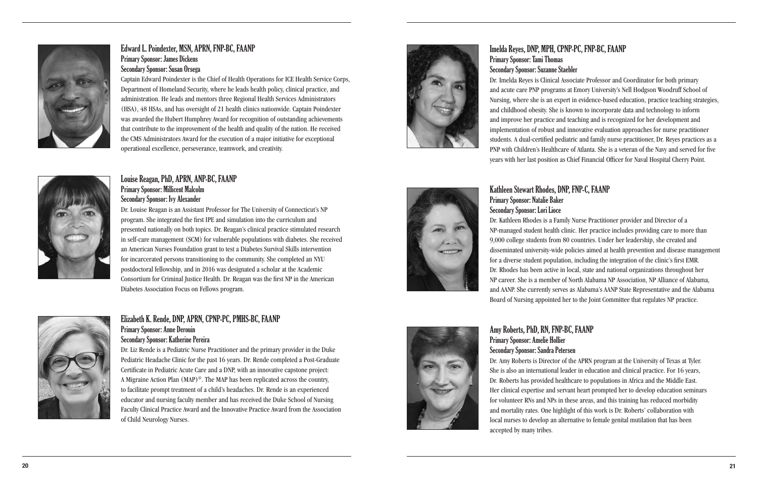# Imelda Reyes, DNP, MPH, CPNP-PC, FNP-BC, FAANP

Primary Sponsor: Tami Thomas Secondary Sponsor: Suzanne Staebler

Dr. Imelda Reyes is Clinical Associate Professor and Coordinator for both primary and acute care PNP programs at Emory University's Nell Hodgson Woodruff School of Nursing, where she is an expert in evidence-based education, practice teaching strategies, and childhood obesity. She is known to incorporate data and technology to inform and improve her practice and teaching and is recognized for her development and implementation of robust and innovative evaluation approaches for nurse practitioner students. A dual-certified pediatric and family nurse practitioner, Dr. Reyes practices as a PNP with Children's Healthcare of Atlanta. She is a veteran of the Navy and served for five years with her last position as Chief Financial Officer for Naval Hospital Cherry Point.

# Kathleen Stewart Rhodes, DNP, FNP-C, FAANP Primary Sponsor: Natalie Baker Secondary Sponsor: Lori Lioce

Dr. Kathleen Rhodes is a Family Nurse Practitioner provider and Director of a NP-managed student health clinic. Her practice includes providing care to more than 9,000 college students from 80 countries. Under her leadership, she created and disseminated university-wide policies aimed at health prevention and disease management for a diverse student population, including the integration of the clinic's first EMR. Dr. Rhodes has been active in local, state and national organizations throughout her NP career. She is a member of North Alabama NP Association, NP Alliance of Alabama, and AANP. She currently serves as Alabama's AANP State Representative and the Alabama Board of Nursing appointed her to the Joint Committee that regulates NP practice.



# Amy Roberts, PhD, RN, FNP-BC, FAANP Primary Sponsor: Amelie Hollier Secondary Sponsor: Sandra Petersen

Dr. Amy Roberts is Director of the APRN program at the University of Texas at Tyler. She is also an international leader in education and clinical practice. For 16 years, Dr. Roberts has provided healthcare to populations in Africa and the Middle East. Her clinical expertise and servant heart prompted her to develop education seminars for volunteer RNs and NPs in these areas, and this training has reduced morbidity and mortality rates. One highlight of this work is Dr. Roberts' collaboration with local nurses to develop an alternative to female genital mutilation that has been accepted by many tribes.



## Edward L. Poindexter, MSN, APRN, FNP-BC, FAANP Primary Sponsor: James Dickens Secondary Sponsor: Susan Orsega

Captain Edward Poindexter is the Chief of Health Operations for ICE Health Service Corps, Department of Homeland Security, where he leads health policy, clinical practice, and administration. He leads and mentors three Regional Health Services Administrators (HSA), 48 HSAs, and has oversight of 21 health clinics nationwide. Captain Poindexter was awarded the Hubert Humphrey Award for recognition of outstanding achievements that contribute to the improvement of the health and quality of the nation. He received the CMS Administrators Award for the execution of a major initiative for exceptional operational excellence, perseverance, teamwork, and creativity.

Louise Reagan, PhD, APRN, ANP-BC, FAANP

Primary Sponsor: Millicent Malcolm Secondary Sponsor: Ivy Alexander

Dr. Louise Reagan is an Assistant Professor for The University of Connecticut's NP program. She integrated the first IPE and simulation into the curriculum and

presented nationally on both topics. Dr. Reagan's clinical practice stimulated research in self-care management (SCM) for vulnerable populations with diabetes. She received an American Nurses Foundation grant to test a Diabetes Survival Skills intervention for incarcerated persons transitioning to the community. She completed an NYU postdoctoral fellowship, and in 2016 was designated a scholar at the Academic Consortium for Criminal Justice Health. Dr. Reagan was the first NP in the American



Diabetes Association Focus on Fellows program.

# Elizabeth K. Rende, DNP, APRN, CPNP-PC, PMHS-BC, FAANP Primary Sponsor: Anne Derouin Secondary Sponsor: Katherine Pereira

Dr. Liz Rende is a Pediatric Nurse Practitioner and the primary provider in the Duke Pediatric Headache Clinic for the past 16 years. Dr. Rende completed a Post-Graduate Certificate in Pediatric Acute Care and a DNP, with an innovative capstone project: A Migraine Action Plan (MAP) ©. The MAP has been replicated across the country, to facilitate prompt treatment of a child's headaches. Dr. Rende is an experienced educator and nursing faculty member and has received the Duke School of Nursing Faculty Clinical Practice Award and the Innovative Practice Award from the Association of Child Neurology Nurses.

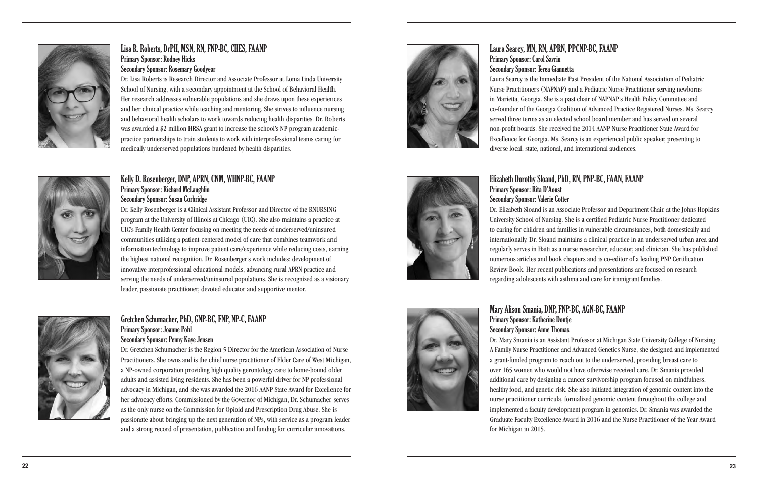Laura Searcy, MN, RN, APRN, PPCNP-BC, FAANP Primary Sponsor: Carol Savrin Secondary Sponsor: Terea Giannetta Laura Searcy is the Immediate Past President of the National Association of Pediatric Nurse Practitioners (NAPNAP) and a Pediatric Nurse Practitioner serving newborns in Marietta, Georgia. She is a past chair of NAPNAP's Health Policy Committee and co-founder of the Georgia Coalition of Advanced Practice Registered Nurses. Ms. Searcy served three terms as an elected school board member and has served on several non-profit boards. She received the 2014 AANP Nurse Practitioner State Award for Excellence for Georgia. Ms. Searcy is an experienced public speaker, presenting to diverse local, state, national, and international audiences.

# Elizabeth Dorothy Sloand, PhD, RN, PNP-BC, FAAN, FAANP





Dr. Elizabeth Sloand is an Associate Professor and Department Chair at the Johns Hopkins University School of Nursing. She is a certified Pediatric Nurse Practitioner dedicated to caring for children and families in vulnerable circumstances, both domestically and internationally. Dr. Sloand maintains a clinical practice in an underserved urban area and regularly serves in Haiti as a nurse researcher, educator, and clinician. She has published numerous articles and book chapters and is co-editor of a leading PNP Certification Review Book. Her recent publications and presentations are focused on research regarding adolescents with asthma and care for immigrant families.

Mary Alison Smania, DNP, FNP-BC, AGN-BC, FAANP Primary Sponsor: Katherine Dontje Secondary Sponsor: Anne Thomas Dr. Mary Smania is an Assistant Professor at Michigan State University College of Nursing. A Family Nurse Practitioner and Advanced Genetics Nurse, she designed and implemented a grant-funded program to reach out to the underserved, providing breast care to over 165 women who would not have otherwise received care. Dr. Smania provided additional care by designing a cancer survivorship program focused on mindfulness, healthy food, and genetic risk. She also initiated integration of genomic content into the nurse practitioner curricula, formalized genomic content throughout the college and implemented a faculty development program in genomics. Dr. Smania was awarded the Graduate Faculty Excellence Award in 2016 and the Nurse Practitioner of the Year Award for Michigan in 2015.



# Lisa R. Roberts, DrPH, MSN, RN, FNP-BC, CHES, FAANP Primary Sponsor: Rodney Hicks Secondary Sponsor: Rosemary Goodyear

Dr. Lisa Roberts is Research Director and Associate Professor at Loma Linda University School of Nursing, with a secondary appointment at the School of Behavioral Health. Her research addresses vulnerable populations and she draws upon these experiences and her clinical practice while teaching and mentoring. She strives to influence nursing and behavioral health scholars to work towards reducing health disparities. Dr. Roberts was awarded a \$2 million HRSA grant to increase the school's NP program academicpractice partnerships to train students to work with interprofessional teams caring for medically underserved populations burdened by health disparities.

## Kelly D. Rosenberger, DNP, APRN, CNM, WHNP-BC, FAANP Primary Sponsor: Richard McLaughlin Secondary Sponsor: Susan Corbridge

Dr. Kelly Rosenberger is a Clinical Assistant Professor and Director of the RNURSING program at the University of Illinois at Chicago (UIC). She also maintains a practice at UIC's Family Health Center focusing on meeting the needs of underserved/uninsured communities utilizing a patient-centered model of care that combines teamwork and information technology to improve patient care/experience while reducing costs, earning the highest national recognition. Dr. Rosenberger's work includes: development of innovative interprofessional educational models, advancing rural APRN practice and serving the needs of underserved/uninsured populations. She is recognized as a visionary leader, passionate practitioner, devoted educator and supportive mentor.



# Gretchen Schumacher, PhD, GNP-BC, FNP, NP-C, FAANP Primary Sponsor: Joanne Pohl

## Secondary Sponsor: Penny Kaye Jensen

Dr. Gretchen Schumacher is the Region 5 Director for the American Association of Nurse Practitioners. She owns and is the chief nurse practitioner of Elder Care of West Michigan, a NP-owned corporation providing high quality gerontology care to home-bound older adults and assisted living residents. She has been a powerful driver for NP professional advocacy in Michigan, and she was awarded the 2016 AANP State Award for Excellence for her advocacy efforts. Commissioned by the Governor of Michigan, Dr. Schumacher serves as the only nurse on the Commission for Opioid and Prescription Drug Abuse. She is passionate about bringing up the next generation of NPs, with service as a program leader and a strong record of presentation, publication and funding for curricular innovations.

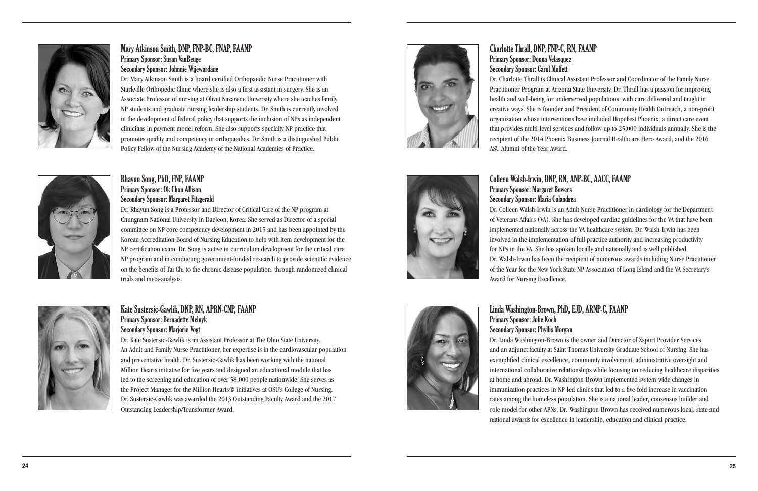Charlotte Thrall, DNP, FNP-C, RN, FAANP Primary Sponsor: Donna Velasquez Secondary Sponsor: Carol Moffett Dr. Charlotte Thrall is Clinical Assistant Professor and Coordinator of the Family Nurse Practitioner Program at Arizona State University. Dr. Thrall has a passion for improving health and well-being for underserved populations, with care delivered and taught in creative ways. She is founder and President of Community Health Outreach, a non-profit organization whose interventions have included HopeFest Phoenix, a direct care event that provides multi-level services and follow-up to 25,000 individuals annually. She is the recipient of the 2014 Phoenix Business Journal Healthcare Hero Award, and the 2016 ASU Alumni of the Year Award.

# Colleen Walsh-Irwin, DNP, RN, ANP-BC, AACC, FAANP Primary Sponsor: Margaret Bowers Secondary Sponsor: Maria Colandrea for NPs in the VA. She has spoken locally and nationally and is well published. Award for Nursing Excellence.



Dr. Colleen Walsh-Irwin is an Adult Nurse Practitioner in cardiology for the Department of Veterans Affairs (VA). She has developed cardiac guidelines for the VA that have been implemented nationally across the VA healthcare system. Dr. Walsh-Irwin has been involved in the implementation of full practice authority and increasing productivity Dr. Walsh-Irwin has been the recipient of numerous awards including Nurse Practitioner of the Year for the New York State NP Association of Long Island and the VA Secretary's

Linda Washington-Brown, PhD, EJD, ARNP-C, FAANP Primary Sponsor: Julie Koch Secondary Sponsor: Phyllis Morgan Dr. Linda Washington-Brown is the owner and Director of Xspurt Provider Services and an adjunct faculty at Saint Thomas University Graduate School of Nursing. She has exemplified clinical excellence, community involvement, administrative oversight and international collaborative relationships while focusing on reducing healthcare disparities at home and abroad. Dr. Washington-Brown implemented system-wide changes in immunization practices in NP-led clinics that led to a five-fold increase in vaccination rates among the homeless population. She is a national leader, consensus builder and role model for other APNs. Dr. Washington-Brown has received numerous local, state and national awards for excellence in leadership, education and clinical practice.





# Mary Atkinson Smith, DNP, FNP-BC, FNAP, FAANP Primary Sponsor: Susan VanBeuge Secondary Sponsor: Johnnie Wijewardane

Dr. Mary Atkinson Smith is a board certified Orthopaedic Nurse Practitioner with Starkville Orthopedic Clinic where she is also a first assistant in surgery. She is an Associate Professor of nursing at Olivet Nazarene University where she teaches family NP students and graduate nursing leadership students. Dr. Smith is currently involved in the development of federal policy that supports the inclusion of NPs as independent clinicians in payment model reform. She also supports specialty NP practice that promotes quality and competency in orthopaedics. Dr. Smith is a distinguished Public Policy Fellow of the Nursing Academy of the National Academies of Practice.



# Rhayun Song, PhD, FNP, FAANP Primary Sponsor: Ok Chon Allison Secondary Sponsor: Margaret Fitzgerald

Dr. Rhayun Song is a Professor and Director of Critical Care of the NP program at Chungnam National University in Daejeon, Korea. She served as Director of a special committee on NP core competency development in 2015 and has been appointed by the Korean Accreditation Board of Nursing Education to help with item development for the NP certification exam. Dr. Song is active in curriculum development for the critical care NP program and in conducting government-funded research to provide scientific evidence on the benefits of Tai Chi to the chronic disease population, through randomized clinical trials and meta-analysis.



# Kate Sustersic-Gawlik, DNP, RN, APRN-CNP, FAANP Primary Sponsor: Bernadette Melnyk Secondary Sponsor: Marjorie Vogt

Dr. Kate Sustersic-Gawlik is an Assistant Professor at The Ohio State University. An Adult and Family Nurse Practitioner, her expertise is in the cardiovascular population and preventative health. Dr. Sustersic-Gawlik has been working with the national Million Hearts initiative for five years and designed an educational module that has led to the screening and education of over 58,000 people nationwide. She serves as the Project Manager for the Million Hearts® initiatives at OSU's College of Nursing. Dr. Sustersic-Gawlik was awarded the 2013 Outstanding Faculty Award and the 2017 Outstanding Leadership/Transformer Award.

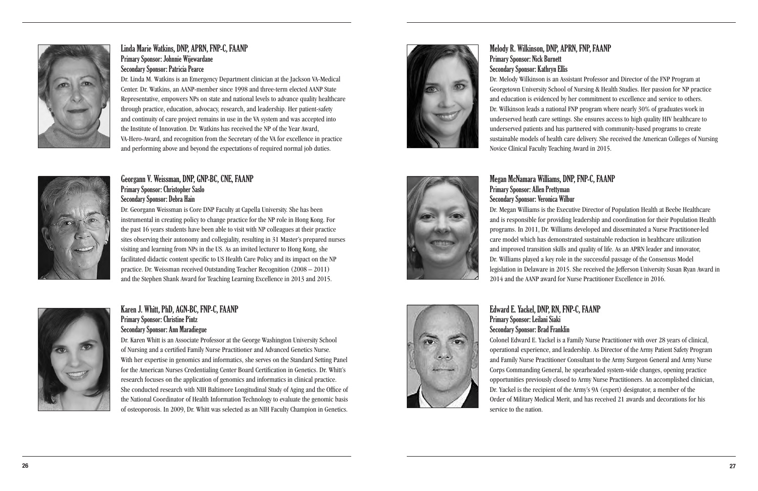Melody R. Wilkinson, DNP, APRN, FNP, FAANP Primary Sponsor: Nick Burnett Secondary Sponsor: Kathryn Ellis Dr. Melody Wilkinson is an Assistant Professor and Director of the FNP Program at Georgetown University School of Nursing & Health Studies. Her passion for NP practice and education is evidenced by her commitment to excellence and service to others. Dr. Wilkinson leads a national FNP program where nearly 30% of graduates work in underserved heath care settings. She ensures access to high quality HIV healthcare to underserved patients and has partnered with community-based programs to create sustainable models of health care delivery. She received the American Colleges of Nursing Novice Clinical Faculty Teaching Award in 2015.



# Megan McNamara Williams, DNP, FNP-C, FAANP

# Primary Sponsor: Allen Prettyman

# Secondary Sponsor: Veronica Wilbur

Dr. Megan Williams is the Executive Director of Population Health at Beebe Healthcare and is responsible for providing leadership and coordination for their Population Health programs. In 2011, Dr. Williams developed and disseminated a Nurse Practitioner-led care model which has demonstrated sustainable reduction in healthcare utilization and improved transition skills and quality of life. As an APRN leader and innovator, Dr. Williams played a key role in the successful passage of the Consensus Model legislation in Delaware in 2015. She received the Jefferson University Susan Ryan Award in 2014 and the AANP award for Nurse Practitioner Excellence in 2016.

Edward E. Yackel, DNP, RN, FNP-C, FAANP Primary Sponsor: Leilani Siaki Secondary Sponsor: Brad Franklin Colonel Edward E. Yackel is a Family Nurse Practitioner with over 28 years of clinical, operational experience, and leadership. As Director of the Army Patient Safety Program and Family Nurse Practitioner Consultant to the Army Surgeon General and Army Nurse Corps Commanding General, he spearheaded system-wide changes, opening practice opportunities previously closed to Army Nurse Practitioners. An accomplished clinician, Dr. Yackel is the recipient of the Army's 9A (expert) designator, a member of the Order of Military Medical Merit, and has received 21 awards and decorations for his

service to the nation.



# Linda Marie Watkins, DNP, APRN, FNP-C, FAANP Primary Sponsor: Johnnie Wijewardane Secondary Sponsor: Patricia Pearce

Dr. Linda M. Watkins is an Emergency Department clinician at the Jackson VA-Medical Center. Dr. Watkins, an AANP-member since 1998 and three-term elected AANP State Representative, empowers NPs on state and national levels to advance quality healthcare through practice, education, advocacy, research, and leadership. Her patient-safety and continuity of care project remains in use in the VA system and was accepted into the Institute of Innovation. Dr. Watkins has received the NP of the Year Award, VA-Hero-Award, and recognition from the Secretary of the VA for excellence in practice and performing above and beyond the expectations of required normal job duties.

## Georgann V. Weissman, DNP, GNP-BC, CNE, FAANP Primary Sponsor: Christopher Saslo Secondary Sponsor: Debra Hain

Dr. Georgann Weissman is Core DNP Faculty at Capella University. She has been instrumental in creating policy to change practice for the NP role in Hong Kong. For the past 16 years students have been able to visit with NP colleagues at their practice sites observing their autonomy and collegiality, resulting in 31 Master's prepared nurses visiting and learning from NPs in the US. As an invited lecturer to Hong Kong, she facilitated didactic content specific to US Health Care Policy and its impact on the NP practice. Dr. Weissman received Outstanding Teacher Recognition (2008 – 2011) and the Stephen Shank Award for Teaching Learning Excellence in 2013 and 2015.



# Karen J. Whitt, PhD, AGN-BC, FNP-C, FAANP Primary Sponsor: Christine Pintz Secondary Sponsor: Ann Maradiegue

Dr. Karen Whitt is an Associate Professor at the George Washington University School of Nursing and a certified Family Nurse Practitioner and Advanced Genetics Nurse. With her expertise in genomics and informatics, she serves on the Standard Setting Panel for the American Nurses Credentialing Center Board Certification in Genetics. Dr. Whitt's research focuses on the application of genomics and informatics in clinical practice. She conducted research with NIH Baltimore Longitudinal Study of Aging and the Office of the National Coordinator of Health Information Technology to evaluate the genomic basis of osteoporosis. In 2009, Dr. Whitt was selected as an NIH Faculty Champion in Genetics.

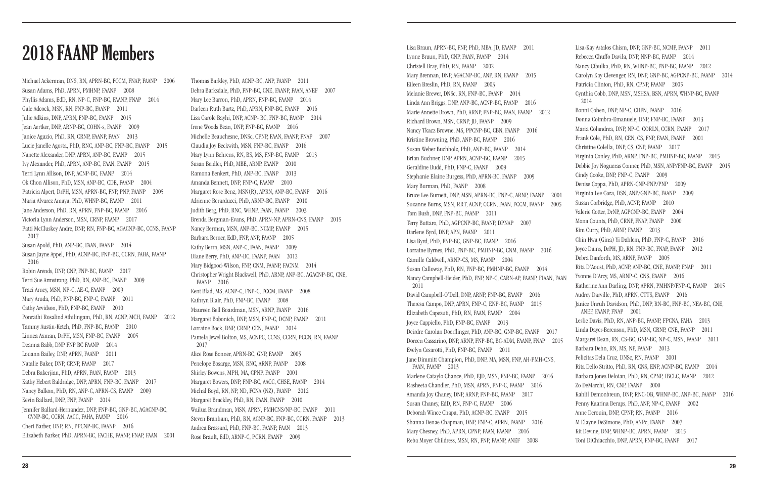# Lisa Braun, APRN-BC, FNP, PhD, MBA, JD, FAANP 2011<br>Lynne Braun, PhD, CNP, FAAN, FAANP 2014

Michael Ackerman, DNS, RN, APRN-BC, FCCM, FNAP, FAANP 2006 Susan Adams, PhD, APRN, PMHNP, FAANP 2008 Phyllis Adams, EdD, RN, NP-C, FNP-BC, FAANP, FNAP 2014 Gale Adcock, MSN, RN, FNP-BC, FAANP 2011 Julie Adkins, DNP, APRN, FNP-BC, FAANP 2015 Jean Aertker, DNP, ARNP-BC, COHN-s, FAANP 2009 Janice Agazio, PhD, RN, CRNP, FAANP, FAAN 2013 Lucie Janelle Agosta, PhD, RNC, ANP-BC, FNP-BC, FAANP 2015 Nanette Alexander, DNP, APRN, ANP-BC, FAANP 2015 Ivy Alexander, PhD, APRN, ANP-BC, FAAN, FAANP 2015 Terri Lynn Allison, DNP, ACNP-BC, FAANP 2014 Ok Chon Allison, PhD, MSN, ANP-BC, CDE, FAANP 2004 Patricia Alpert, DrPH, MSN, APRN-BC, FNP, PNP, FAANP 2005 Maria Alvarez Amaya, PhD, WHNP-BC, FAANP 2011 Jane Anderson, PhD, RN, APRN, FNP-BC, FAANP 2016 Victoria Lynn Anderson, MSN, CRNP, FAANP 2017 Patti McCluskey Andre, DNP, RN, FNP-BC, AGACNP-BC, CCNS, FAANP 2017 Susan Apold, PhD, ANP-BC, FAAN, FAANP 2014 Susan Jayne Appel, PhD, ACNP-BC, FNP-BC, CCRN, FAHA, FAANP 2016 Robin Arends, DNP, CNP, FNP-BC, FAANP 2017 Terri Sue Armstrong, PhD, RN, ANP-BC, FAANP 2009 Traci Arney, MSN, NP-C, AE-C, FAANP 2009 Mary Aruda, PhD, PNP-BC, FNP-C, FAANP 2011 Cathy Arvidson, PhD, FNP-BC, FAANP 2010 Ponrathi Rosalind Athilingam, PhD, RN, ACNP, MCH, FAANP 2012 Tammy Austin-Ketch, PhD, FNP-BC, FAANP 2010 Linnea Axman, DrPH, MSN, FNP-BC, FAANP 2005 Deanna Babb, DNP FNP BC FAANP 2014 Louann Bailey, DNP, APRN, FAANP 2011 Natalie Baker, DNP, CRNP, FAANP 2017 Debra Bakerjian, PhD, APRN, FAAN, FAANP 2013 Kathy Hebert Baldridge, DNP, APRN, FNP-BC, FAANP 2017 Nancy Balkon, PhD, RN, ANP-C, APRN-CS, FAANP 2009 Kevin Ballard, DNP, FNP, FAANP 2014 Jennifer Ballard-Hernandez, DNP, FNP-BC, GNP-BC, AGACNP-BC, CVNP-BC, CCRN, AACC, FAHA, FAANP 2016 Cheri Barber, DNP, RN, PPCNP-BC, FAANP 2016 Elizabeth Barker, PhD, APRN-BC, FACHE, FAANP, FNAP, FAAN 2001

Thomas Barkley, PhD, ACNP-BC, ANP, FAANP 2011 Debra Barksdale, PhD, FNP-BC, CNE, FAANP, FAAN, ANEF 2007 Mary Lee Barron, PhD, APRN, FNP-BC, FAANP 2014 Darleen Ruth Bartz, PhD, APRN, FNP-BC, FAANP 2016 Lisa Carole Bayhi, DNP, ACNP- BC, FNP-BC, FAANP 2014 Irene Woods Bean, DNP, FNP-BC, FAANP 2016 Michelle Beauchesne, DNSc, CPNP, FAAN, FAANP, FNAP 2007 Claudia Joy Beckwith, MSN, FNP-BC, FAANP 2016 Mary Lynn Behrens, RN, BS, MS, FNP-BC, FAANP 2013 Susan Beidler, PhD, MBE, ARNP, FAANP 2010 Ramona Benkert, PhD, ANP-BC, FAANP 2013 Amanda Bennett, DNP, FNP-C, FAANP 2010 Margaret Rose Benz, MSN(R), APRN, ANP-BC, FAANP 2016 Adrienne Berarducci, PhD, ARNP-BC, FAANP 2010 Judith Berg, PhD, RNC, WHNP, FAAN, FAANP 2003 Brenda Bergman-Evans, PhD, APRN-NP, APRN-CNS, FAANP 2015 Nancy Berman, MSN, ANP-BC, NCMP, FAANP 2015 Barbara Berner, EdD, FNP, ANP, FAANP 2005 Kathy Berra, MSN, ANP-C, FAAN, FAANP 2009 Diane Berry, PhD, ANP-BC, FAANP, FAAN 2012 Mary Bidgood-Wilson, FNP, CNM, FAANP, FACNM 2014 Christopher Wright Blackwell, PhD, ARNP, ANP-BC, AGACNP-BC, CNE, FAANP 2016 Kent Blad, MS, ACNP-C, FNP-C, FCCM, FAANP 2008 Kathryn Blair, PhD, FNP-BC, FAANP 2008 Maureen Bell Boardman, MSN, ARNP, FAANP 2016 Margaret Bobonich, DNP, MSN, FNP-C, DCNP, FAANP 2011 Lorraine Bock, DNP, CRNP, CEN, FAANP 2014 Pamela Jewel Bolton, MS, ACNPC, CCNS, CCRN, PCCN, RN, FAANP 2017 Alice Rose Bonner, APRN-BC, GNP, FAANP 2005 Penelope Bosarge, MSN, RNC, ARNP, FAANP 2008 Shirley Bowens, MPH, MA, CPNP, FAANP 2001 Margaret Bowers, DNP, FNP-BC, AACC, CHSE, FAANP 2014 Michal Boyd, RN, NP, ND, FCNA (NZ), FAANP 2012 Margaret Brackley, PhD, RN, FAAN, FAANP 2010 Wailua Brandman, MSN, APRN, PMHCNS/NP-BC, FAANP 2011 Steven Branham, PhD, RN, ACNP-BC, FNP-BC, CCRN, FAANP 2013 Andrea Brassard, PhD, FNP-BC, FAANP, FAAN 2013 Rose Brault, EdD, ARNP-C, PCRN, FAANP 2009

Lynne Braun, PhD, CNP, FAAN, FAANP 2014 Christell Bray, PhD, RN, FAANP 2002 Mary Brennan, DNP, AGACNP-BC, ANP, RN, FAANP 2015 Eileen Breslin, PhD, RN, FAANP 2003 Melanie Brewer, DNSc, RN, FNP-BC, FAANP 2014 Linda Ann Briggs, DNP, ANP-BC, ACNP-BC, FAANP 2016 Marie Annette Brown, PhD, ARNP, FNP-BC, FAAN, FAANP 2012 Richard Brown, MSN, CRNP, JD, FAANP 2009 Nancy Tkacz Browne, MS, PPCNP-BC, CBN, FAANP 2016 Kristine Browning, PhD, ANP-BC, FAANP 2016 Susan Weber Buchholz, PhD, ANP-BC, FAANP 2014 Brian Buchner, DNP, APRN, ACNP-BC, FAANP 2015 Geraldine Budd, PhD, FNP-C, FAANP 2009 Stephanie Elaine Burgess, PhD, APRN-BC, FAANP 2009 Mary Burman, PhD, FAANP 2008 Bruce Lee Burnett, DNP, MSN, APRN-BC, FNP-C, ARNP, FAANP 2001 Suzanne Burns, MSN, RRT, ACNP, CCRN, FAAN, FCCM, FAANP 2005 Tom Bush, DNP, FNP-BC, FAANP 2011 Terry Buttaro, PhD, AGPCNP-BC, FAANP, DPNAP 2007 Darlene Byrd, DNP, APN, FAANP 2011 Lisa Byrd, PhD, FNP-BC, GNP-BC, FAANP 2016 Lorraine Byrnes, PhD, FNP-BC, PMHNP-BC, CNM, FAANP 2016 Camille Caldwell, ARNP-CS, MS, FAANP 2004 Susan Calloway, PhD, RN, FNP-BC, PMHNP-BC, FAANP 2014 Nancy Campbell-Heider, PhD, FNP, NP-C, CARN-AP, FAANP, FIAAN, FAAN 2011 David Campbell-O'Dell, DNP, ARNP, FNP-BC, FAANP 2016 Theresa Campo, DNP, APRN, FNP-C, ENP-BC, FAANP 2015 Elizabeth Capezuti, PhD, RN, FAAN, FAANP 2004 Joyce Cappiello, PhD, FNP-BC, FAANP 2013 Deirdre Carolan Doerflinger, PhD, ANP-BC, GNP-BC, FAANP 2017 Doreen Cassarino, DNP, ARNP, FNP-BC, BC-ADM, FAANP, FNAP 2015 Evelyn Cesarotti, PhD, FNP-BC, FAANP 2011 Jane Dimmitt Champion, PhD, DNP, MA, MSN, FNP, AH-PMH-CNS, FAAN, FAANP 2013 Marlene Cataylo Chance, PhD, EJD, MSN, FNP-BC, FAANP 2016 Rasheeta Chandler, PhD, MSN, APRN, FNP-C, FAANP 2016 Amanda Joy Chaney, DNP, ARNP, FNP-BC, FAANP 2017 Susan Chaney, EdD, RN, FNP-C, FAANP 2006 Deborah Wince Chapa, PhD, ACNP-BC, FAANP 2015 Shanna Denae Chapman, DNP, FNP-C, APRN, FAANP 2016 Mary Chesney, PhD, APRN, CPNP, FAAN, FAANP 2016 Reba Moyer Childress, MSN, RN, FNP, FAANP, ANEF 2008 Lisa-Kay Astalos Chism, DNP, GNP-BC, NCMP, FAANP 2011 Rebecca Chuffo Davila, DNP, NNP-BC, FAANP 2014 Nancy Cibulka, PhD, RN, WHNP-BC, FNP-BC, FAANP 2012 Carolyn Kay Clevenger, RN, DNP, GNP-BC, AGPCNP-BC, FAANP 2014 Patricia Clinton, PhD, RN, CPNP, FAANP 2005 Cynthia Cobb, DNP, MSN, MSHSA, BSN, APRN, WHNP-BC, FAANP 2014 Bonni Cohen, DNP, NP-C, CHFN, FAANP 2016 Donna Coimbra-Emanuele, DNP, FNP-BC, FAANP 2013 Maria Colandrea, DNP, NP-C, CORLN, CCRN, FAANP 2017 Frank Cole, PhD, RN, CEN, CS, FNP, FAAN, FAANP 2001 Christine Colella, DNP, CS, CNP, FAANP 2017 Virginia Conley, PhD, ARNP, FNP-BC, PMHNP-BC, FAANP 2015 Debbie Joy Nogueras Conner, PhD, MSN, ANP/FNP-BC, FAANP 2015 Cindy Cooke, DNP, FNP-C, FAANP 2009 Denise Coppa, PhD, APRN-CNP-FNP/PNP 2009 Virginia Lee Cora, DSN, ANP/GNP-BC, FAANP 2009 Susan Corbridge, PhD, ACNP, FAANP 2010 Valerie Cotter, DrNP, AGPCNP-BC, FAANP 2004 Mona Counts, PhD, CRNP, FNAP, FAANP 2000 Kim Curry, PhD, ARNP, FAANP 2013 Chin Hwa (Gina) Yi Dahlem, PhD, FNP-C, FAANP 2016 Joyce Dains, DrPH, JD, RN, FNP-BC, FNAP, FAANP 2012 Debra Danforth, MS, ARNP, FAANP 2005 Rita D'Aoust, PhD, ACNP, ANP-BC, CNE, FAANP, FNAP 2011 Yvonne D'Arcy, MS, ARNP-C, CNS, FAANP 2016 Katherine Ann Darling, DNP, APRN, PMHNP/FNP-C, FAANP 2015 Audrey Darville, PhD, APRN, CTTS, FAANP 2016 Janice Unruh Davidson, PhD, DNP, RN-BC, FNP-BC, NEA-BC, CNE, ANEF, FAANP, FNAP 2001 Leslie Davis, PhD, RN, ANP-BC, FAANP, FPCNA, FAHA 2013 Linda Dayer-Berenson, PhD, MSN, CRNP, CNE, FAANP 2011 Margaret Dean, RN, CS-BC, GNP-BC, NP-C, MSN, FAANP 2011 Barbara Dehn, RN, MS, NP, FAANP 2013 Felicitas Dela Cruz, DNSc, RN, FAANP 2001 Rita Dello Stritto, PhD, RN, CNS, ENP, ACNP-BC, FAANP 2014 Barbara Jones Deloian, PhD, RN, CPNP, IBCLC, FAANP 2012 Zo DeMarchi, RN, CNP, FAANP 2000 Kahlil Demonbreun, DNP, RNC-OB, WHNP-BC, ANP-BC, FAANP 2016 Penny Kaarina Deraps, PhD, ANP, NP-C, FAANP 2002 Anne Derouin, DNP, CPNP, RN, FAANP 2016 M Elayne DeSimone, PhD, ANPc, FAANP 2007 Kit Devine, DNP, WHNP-BC, APRN, FAANP 2015 Toni DiChiacchio, DNP, APRN, FNP-BC, FAANP 2017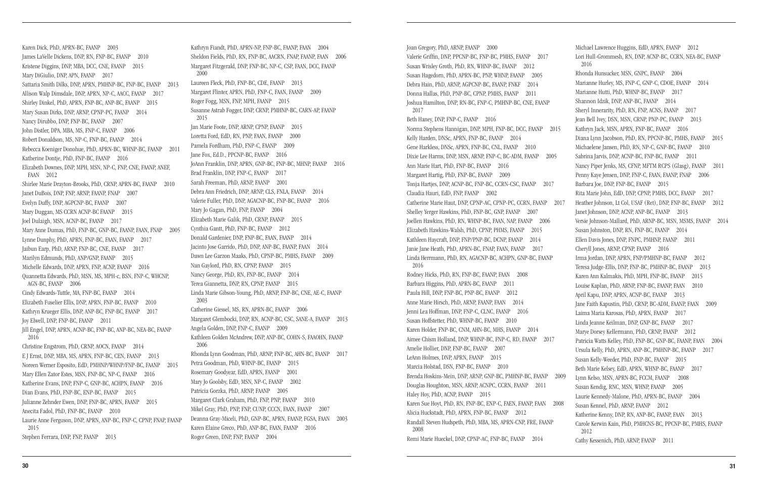Karen Dick, PhD, APRN-BC, FAANP 2003 James LaVelle Dickens, DNP, RN, FNP-BC, FAANP 2010 Kristene Diggins, DNP, MBA, DCC, CNE, FAANP 2015 Mary DiGiulio, DNP, APN, FAANP 2017 Sattaria Smith Dilks, DNP, APRN, PMHNP-BC, FNP-BC, FAANP 2013 Allison Walp Dimsdale, DNP, APRN, NP-C, AACC, FAANP 2017 Shirley Dinkel, PhD, APRN, FNP-BC, ANP-BC, FAANP 2015 Mary Susan Dirks, DNP, ARNP, CPNP-PC, FAANP 2014 Nancy Dirubbo, DNP, FNP-BC, FAANP 2007 John Distler, DPA, MBA, MS, FNP-C, FAANP 2006 Robert Donaldson, MS, NP-C, FNP-BC, FAANP 2014 Rebecca Koeniger Donohue, PhD, APRN-BC, WHNP-BC, FAANP 2011 Katherine Dontje, PhD, FNP-BC, FAANP 2016 Elizabeth Downes, DNP, MPH, MSN, NP-C, FNP, CNE, FAANP, ANEF, FAAN 2012 Shirlee Marie Drayton-Brooks, PhD, CRNP, APRN-BC, FAANP 2010 Janet DuBois, DNP, FNP, ARNP, FAANP, FNAP 2007 Evelyn Duffy, DNP, AGPCNP-BC, FAANP 2007 Mary Duggan, MS CCRN ACNP-BC FAANP 2015 Joel Dulaigh, MSN, ACNP-BC, FAANP 2017 Mary Anne Dumas, PhD, FNP-BC, GNP-BC, FAANP, FAAN, FNAP 2005 Lynne Dunphy, PhD, APRN, FNP-BC, FAAN, FAANP 2017 Jaibun Earp, PhD, ARNP, FNP-BC, CNE, FAANP 2017 Marilyn Edmunds, PhD, ANP/GNP, FAANP 2015 Michelle Edwards, DNP, APRN, FNP, ACNP, FAANP 2016 Quannetta Edwards, PhD, MSN, MS, MPH-c, BSN, FNP-C, WHCNP, AGN-BC, FAANP 2006 Cindy Edwards-Tuttle, MA, FNP-BC, FAANP 2014 Elizabeth Fuselier Ellis, DNP, APRN, FNP-BC, FAANP 2010 Kathryn Krueger Ellis, DNP, ANP-BC, FNP-BC, FAANP 2017 Joy Elwell, DNP, FNP-BC, FAANP 2011 Jill Engel, DNP, APRN, ACNP-BC, FNP-BC, ANP-BC, NEA-BC, FAANP 2016 Christine Engstrom, PhD, CRNP, AOCN, FAANP 2014 E J Ernst, DNP, MBA, MS, APRN, FNP-BC, CEN, FAANP 2013 Noreen Werner Esposito, EdD, PMHNP/WHNP/FNP-BC, FAANP 2015 Mary Ellen Zator Estes, MSN, FNP-BC, NP-C, FAANP 2016 Katherine Evans, DNP, FNP-C, GNP-BC, ACHPN, FAANP 2016 Dian Evans, PhD, FNP-BC, ENP-BC, FAANP 2015 Julianne Zehnder Ewen, DNP, FNP-BC, APRN, FAANP 2015 Anecita Fadol, PhD, FNP-BC, FAANP 2010 Laurie Anne Ferguson, DNP, APRN, ANP-BC, FNP-C, CPNP, FNAP, FAANP 2015 Stephen Ferrara, DNP, FNP, FAANP 2013

Kathryn Fiandt, PhD, APRN-NP, FNP-BC, FAANP, FAAN 2004 Sheldon Fields, PhD, RN, FNP-BC, AACRN, FNAP, FAANP, FAAN 2006 Margaret Fitzgerald, DNP, FNP-BC, NP-C, CSP, FAAN, DCC, FAANP 2000 Laureen Fleck, PhD, FNP-BC, CDE, FAANP 2013 Margaret Flinter, APRN, PhD, FNP-C, FAAN, FAANP 2009 Roger Fogg, MSN, FNP, MPH, FAANP 2015 Susanne Astrab Fogger, DNP, CRNP, PMHNP-BC, CARN-AP, FAANP 2015 Jan Marie Foote, DNP, ARNP, CPNP, FAANP 2015 Loretta Ford, EdD, RN, PNP, FAAN, FAANP 2000 Pamela Fordham, PhD, FNP-C, FAANP 2009 Jane Fox, Ed.D., PPCNP-BC, FAANP 2016 JoAnn Franklin, DNP, APRN, GNP-BC, FNP-BC, MHNP, FAANP 2016 Brad Franklin, DNP, FNP-C, FAANP 2017 Sarah Freeman, PhD, ARNP, FAANP 2001 Debra Ann Friedrich, DNP, ARNP, CLS, FNLA, FAANP 2014 Valerie Fuller, PhD, DNP, AGACNP-BC, FNP-BC, FAANP 2016 Mary Jo Gagan, PhD, FNP, FAANP 2004 Elizabeth Marie Galik, PhD, CRNP, FAANP 2015 Cynthia Gantt, PhD, FNP-BC, FAANP 2012 Donald Gardenier, DNP, FNP-BC, FAAN, FAANP 2014 Jacinto Jose Garrido, PhD, DNP, ANP-BC, FAANP, FAAN 2014 Dawn Lee Garzon Maaks, PhD, CPNP-BC, PMHS, FAANP 2009 Nan Gaylord, PhD, RN, CPNP, FAANP 2015 Nancy George, PhD, RN, FNP-BC, FAANP 2014 Terea Giannetta, DNP, RN, CPNP, FAANP 2015 Linda Marie Gibson-Young, PhD, ARNP, FNP-BC, CNE, AE-C, FAANP 2003 Catherine Giessel, MS, RN, APRN-BC, FAANP 2006 Margaret Glembocki, DNP, RN, ACNP-BC, CSC, SANE-A, FAANP 2013 Angela Golden, DNP, FNP-C, FAANP 2009 Kathleen Golden McAndrew, DNP, ANP-BC, COHN-S, FAAOHN, FAANP 2006 Rhonda Lynn Goodman, PhD, ARNP, FNP-BC, AHN-BC, FAANP 2017 Petra Goodman, PhD, WHNP-BC, FAANP 2015 Rosemary Goodyear, EdD, APRN, FAANP 2001 Mary Jo Goolsby, EdD, MSN, NP-C, FAANP 2002 Patricia Gorzka, PhD, ARNP, FAANP 2005 Margaret Clark Graham, PhD, FNP, PNP, FAANP 2010 Mikel Gray, PhD, PNP, FNP, CUNP, CCCN, FAAN, FAANP 2007 Deanna Gray-Miceli, PhD, GNP-BC, APRN, FAANP, FGSA, FAAN 2003 Karen Elaine Greco, PhD, ANP-BC, FAAN, FAANP 2016 Roger Green, DNP, FNP, FAANP 2004

Joan Gregory, PhD, ARNP, FAANP 2000 Valerie Griffin, DNP, PPCNP-BC, FNP-BC, PMHS, FAANP 2017 Susan Wrisley Groth, PhD, RN, WHNP-BC, FAANP 2012 Susan Hagedorn, PhD, APRN-BC, PNP, WHNP, FAANP 2005 Debra Hain, PhD, ARNP, AGPCNP-BC, FAANP, FNKF 2014 Donna Hallas, PhD, PNP-BC, CPNP, PMHS, FAANP 2011 Joshua Hamilton, DNP, RN-BC, FNP-C, PMHNP-BC, CNE, FAANP 2017 Beth Haney, DNP, FNP-C, FAANP 2016 Norma Stephens Hannigan, DNP, MPH, FNP-BC, DCC, FAANP 2015 Kelly Harden, DNSc, APRN, FNP-BC, FAANP 2014 Gene Harkless, DNSc, APRN, FNP-BC, CNL, FAANP 2010 Dixie Lee Harms, DNP, MSN, ARNP, FNP-C, BC-ADM, FAANP 2005 Ann Marie Hart, PhD, FNP-BC, FAANP 2016 Margaret Hartig, PhD, FNP-BC, FAANP 2009 Tonja Hartjes, DNP, ACNP-BC, FNP-BC, CCRN-CSC, FAANP 2017 Claudia Hauri, EdD, FNP, FAANP 2002 Catherine Marie Haut, DNP, CPNP-AC, CPNP-PC, CCRN, FAANP 2017 Shelley Yerger Hawkins, PhD, FNP-BC, GNP, FAANP 2007 Joellen Hawkins, PhD, RN, WHNP-BC, FAAN, NAP, FAANP 2006 Elizabeth Hawkins-Walsh, PhD, CPNP, PHMS, FAANP 2015 Kathleen Haycraft, DNP, FNP/PNP-BC, DCNP, FAANP 2014 Janie Jane Heath, PhD, APRN-BC, FNAP, FAAN, FAANP 2017 Linda Herrmann, PhD, RN, AGACNP-BC, ACHPN, GNP-BC, FAANP 2016 Rodney Hicks, PhD, RN, FNP-BC, FAANP, FAAN 2008 Barbara Higgins, PhD, APRN-BC, FAANP 2011 Paula Hill, DNP, FNP-BC, PNP-BC, FAANP 2012 Anne Marie Hirsch, PhD, ARNP, FAANP, FAAN 2014 Jenni Lea Hoffman, DNP, FNP-C, CLNC, FAANP 2016 Susan Hoffstetter, PhD, WHNP-BC, FAANP 2010 Karen Holder, FNP-BC, CNM, AHN-BC, MHS, FAANP 2014 Aimee Chism Holland, DNP, WHNP-BC, FNP-C, RD, FAANP 2017 Amelie Hollier, DNP, FNP-BC, FAANP 2007 LeAnn Holmes, DNP, APRN, FAANP 2015 Marcia Holstad, DSN, FNP-BC, FAANP 2010 Brenda Hoskins-Mein, DNP, ARNP, GNP-BC, PMHNP-BC, FAANP 2009 Douglas Houghton, MSN, ARNP, ACNPC, CCRN, FAANP 2011 Haley Hoy, PhD, ACNP, FAANP 2015 Karen Sue Hoyt, PhD, RN, FNP-BC, ENP-C, FAEN, FAANP, FAAN 2008 Alicia Huckstadt, PhD, APRN, FNP-BC, FAANP 2012 Randall Steven Hudspeth, PhD, MBA, MS, APRN-CNP, FRE, FAANP 2008 Remi Marie Hueckel, DNP, CPNP-AC, FNP-BC, FAANP 2014 Michael Lawrence Huggins, EdD, APRN, FAANP 2012 Lori Hull-Grommesh, RN, DNP, ACNP-BC, CCRN, NEA-BC, FAANP 2016 Rhonda Hunsucker, MSN, GNPC, FAANP 2004 Marianne Hurley, MS, FNP-C, GNP-C, CDOE, FAANP 2014 Marianne Hutti, PhD, WHNP-BC, FAANP 2017 Shannon Idzik, DNP, ANP-BC, FAANP 2014 Sheryl Innerarity, PhD, RN, FNP, ACNS, FAANP 2017 Jean Bell Ivey, DSN, MSN, CRNP, PNP-PC, FAANP 2013 Kathryn Jack, MSN, APRN, FNP-BC, FAANP 2016 Diana Lynn Jacobson, PhD, RN, PPCNP-BC, PMHS, FAANP 2015 Michaelene Jansen, PhD, RN, NP-C, GNP-BC, FAANP 2010 Sabrina Jarvis, DNP, ACNP-BC, FNP-BC, FAANP 2011 Nancy Piper Jenks, MS, CFNP, MFTM RCPS (Glasg), FAANP 2011 Penny Kaye Jensen, DNP, FNP-C, FAAN, FAANP, FNAP 2006 Barbara Joe, DNP, FNP-BC, FAANP 2015 Rita Marie John, EdD, DNP, CPNP, PMHS, DCC, FAANP 2017 Heather Johnson, Lt Col, USAF (Ret), DNP, FNP-BC, FAANP 2012 Janet Johnson, DNP, ACNP, ANP-BC, FAANP 2013 Versie Johnson-Mallard, PhD, ARNP-BC, MSN, MSMS, FAANP 2014 Susan Johnston, DNP, RN, FNP-BC, FAANP 2014 Ellen Davis Jones, DNP, FNPC, PMHNP, FAANP 2011 Cheryll Jones, ARNP, CPNP, FAANP 2016 Irma Jordan, DNP, APRN, FNP/PMHNP-BC, FAANP 2012 Teresa Judge-Ellis, DNP, FNP-BC, PMHNP-BC, FAANP 2013 Karen Ann Kalmakis, PhD, MPH, FNP-BC, FAANP 2015 Louise Kaplan, PhD, ARNP, FNP-BC, FAANP, FAAN 2010 April Kapu, DNP, APRN, ACNP-BC, FAANP 2013 Jane Faith Kapustin, PhD, CRNP, BC-ADM, FAANP, FAAN 2009 Laima Maria Karosas, PhD, APRN, FAANP 2017 Linda Jeanne Keilman, DNP, GNP-BC, FAANP 2017 Marye Dorsey Kellermann, PhD, CRNP, FAANP 2012 Patricia Watts Kelley, PhD, FNP-BC, GNP-BC, FAANP, FAAN 2004 Ursula Kelly, PhD, APRN, ANP-BC, PMHNP-BC, FAANP 2017 Susan Kelly-Weeder, PhD, FNP-BC, FAANP 2015 Beth Marie Kelsey, EdD, APRN, WHNP-BC, FAANP 2017 Lynn Kelso, MSN, APRN-BC, FCCM, FAANP 2008 Susan Kendig, RNC, MSN, WHNP, FAANP 2005 Laurie Kennedy-Malone, PhD, APRN-BC, FAANP 2004 Susan Kennel, PhD, ARNP, FAANP 2012 Katherine Kenny, DNP, RN, ANP-BC, FAANP, FAAN 2013 Carole Kerwin Kain, PhD, PMHCNS-BC, PPCNP-BC, PMHS, FAANP 2012 Cathy Kessenich, PhD, ARNP, FAANP 2011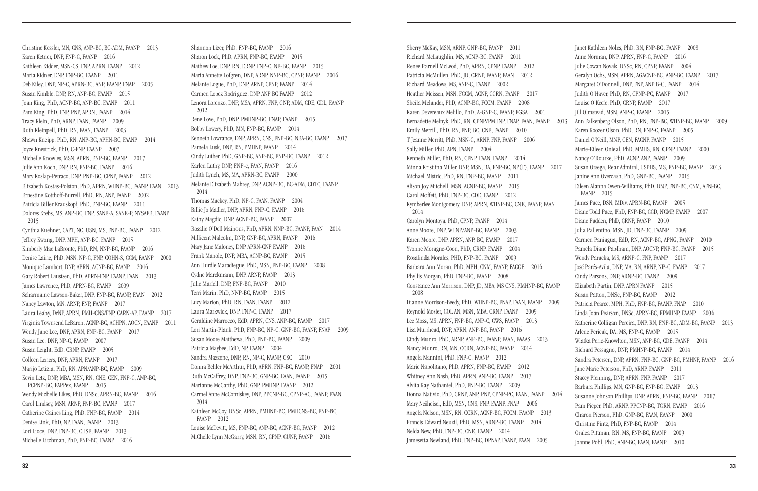Christine Kessler, MN, CNS, ANP-BC, BC-ADM, FAANP 2013 Karen Ketner, DNP, FNP-C, FAANP 2016 Kathleen Kidder, MSN-CS, FNP, APRN, FAANP 2012 Maria Kidner, DNP, FNP-BC, FAANP 2011 Deb Kiley, DNP, NP-C, APRN-BC, ANP, FAANP, FNAP 2005 Susan Kimble, DNP, RN, ANP-BC, FAANP 2015 Joan King, PhD, ACNP-BC, ANP-BC, FAANP 2011 Pam King, PhD, FNP, PNP, APRN, FAANP 2014 Tracy Klein, PhD, ARNP, FAAN, FAANP 2009 Ruth Kleinpell, PhD, RN, FAAN, FAANP 2003 Shawn Kneipp, PhD, RN, ANP-BC, APHN-BC, FAANP 2014 Joyce Knestrick, PhD, C-FNP, FAANP 2007 Michelle Knowles, MSN, APRN, FNP-BC, FAANP 2017 Julie Ann Koch, DNP, RN, FNP-BC, FAANP 2016 Mary Koslap-Petraco, DNP, PNP-BC, CPNP, FAANP 2012 Elizabeth Kostas-Polston, PhD, APRN, WHNP-BC, FAANP, FAAN 2013 Ernestine Kotthoff-Burrell, PhD, RN, ANP, FAANP 2002 Patricia Biller Krauskopf, PhD, FNP-BC, FAANP 2011 Dolores Krebs, MS, ANP-BC, FNP, SANE-A, SANE-P, NYSAFE, FAANP 2015 Cynthia Kuehner, CAPT, NC, USN, MS, FNP-BC, FAANP 2012 Jeffrey Kwong, DNP, MPH, ANP-BC, FAANP 2015 Kimberly Mae LaBronte, PhD, RN, NNP-BC, FAANP 2016 Denise Laine, PhD, MSN, NP-C, FNP, COHN-S, CCM, FAANP 2000 Monique Lambert, DNP, APRN, ACNP-BC, FAANP 2016 Gary Robert Laustsen, PhD, APRN-FNP, FAANP, FAAN 2013 James Lawrence, PhD, APRN-BC, FAANP 2009 Scharmaine Lawson-Baker, DNP, FNP-BC, FAANP, FAAN 2012 Nancy Lawton, MN, ARNP, FNP, FAANP 2017 Laura Leahy, DrNP, APRN, PMH-CNS/FNP, CARN-AP, FAANP 2017 Virginia Townsend LeBaron, ACNP-BC, ACHPN, AOCN, FAANP 2011 Wendy Jane Lee, DNP, APRN, FNP-BC, FAANP 2017 Susan Lee, DNP, NP-C, FAANP 2007 Susan Leight, EdD, CRNP, FAANP 2005 Colleen Leners, DNP, APRN, FAANP 2017 Marijo Letizia, PhD, RN, APN/ANP-BC, FAANP 2009 Kevin Letz, DNP, MBA, MSN, RN, CNE, CEN, FNP-C, ANP-BC, PCPNP-BC, FAPPex, FAANP 2015 Wendy Michelle Likes, PhD, DNSc, APRN-BC, FAANP 2016 Carol Lindsey, MSN, ARNP, FNP-BC, FAANP 2017 Catherine Gaines Ling, PhD, FNP-BC, FAANP 2014 Denise Link, PhD, NP, FAAN, FAANP 2013 Lori Lioce, DNP, FNP-BC, CHSE, FAANP 2013 Michelle Litchman, PhD, FNP-BC, FAANP 2016

Shannon Lizer, PhD, FNP-BC, FAANP 2016 Sharon Lock, PhD, APRN, FNP-BC, FAANP 2015 Mathew Loe, DNP, RN, ERNP, FNP-C, NE-BC, FAANP 2015 Maria Annette Lofgren, DNP, ARNP, NNP-BC, CPNP, FAANP 2016 Melanie Logue, PhD, DNP, ARNP, CFNP, FAANP 2014 Carmen Lopez Rodriguez, DNP ANP BC FAANP 2012 Lenora Lorenzo, DNP, MSA, APRN, FNP, GNP, ADM, CDE, CDL, FAANP 2012 Rene Love, PhD, DNP, PMHNP-BC, FNAP, FAANP 2015 Bobby Lowery, PhD, MN, FNP-BC, FAANP 2014 Kenneth Lowrance, DNP, APRN, CNS, FNP-BC, NEA-BC, FAANP 2017 Pamela Lusk, DNP, RN, PMHNP, FAANP 2014 Cindy Luther, PhD, GNP-BC, ANP-BC, FNP-BC, FAANP 2012 Karlen Luthy, DNP, FNP-c, FAAN, FAANP 2016 Judith Lynch, MS, MA, APRN-BC, FAANP 2000 Melanie Elizabeth Mabrey, DNP, ACNP-BC, BC-ADM, CDTC, FAANP 2014 Thomas Mackey, PhD, NP-C, FAAN, FAANP 2004 Billie Jo Madler, DNP, APRN, FNP-C, FAANP 2016 Kathy Magdic, DNP, ACNP-BC, FAANP 2007 Rosalie O'Dell Mainous, PhD, APRN, NNP-BC, FAANP, FAAN 2014 Millicent Malcolm, DNP, GNP-BC, APRN, FAANP 2016 Mary Jane Maloney, DNP APRN-CNP FAANP 2016 Frank Manole, DNP, MBA, ACNP-BC, FAANP 2015 Ann Hurdle Maradiegue, PhD, MSN, FNP-BC, FAANP 2008 Cydne Marckmann, DNP, ARNP, FAANP 2013 Julie Marfell, DNP, FNP-BC, FAANP 2010 Terri Marin, PhD, NNP-BC, FAANP 2015 Lucy Marion, PhD, RN, FAAN, FAANP 2012 Laura Markwick, DNP, FNP-C, FAANP 2017 Geraldine Marrocco, EdD, APRN, CNS, ANP-BC, FAANP 2017 Lori Martin-Plank, PhD, FNP-BC, NP-C, GNP-BC, FAANP, FNAP 2009 Susan Moore Matthews, PhD, FNP-BC, FAANP 2009 Patricia Maybee, EdD, NP, FAANP 2004 Sandra Mazzone, DNP, RN, NP-C, FAANP, CSC 2010 Donna Behler McArthur, PhD, APRN, FNP-BC, FAANP, FNAP 2001 Ruth McCaffrey, DNP, FNP-BC, GNP-BC, FAAN, FAANP 2015 Marianne McCarthy, PhD, GNP, PMHNP, FAANP 2012 Carmel Anne McComiskey, DNP, PPCNP-BC, CPNP-AC, FAANP, FAAN 2014 Kathleen McCoy, DNSc, APRN, PMHNP-BC, PMHCNS-BC, FNP-BC, FAANP 2012 Louise McDevitt, MS, FNP-BC, ANP-BC, ACNP-BC, FAANP 2012 MiChelle Lynn McGarry, MSN, RN, CPNP, CUNP, FAANP 2016

Sherry McKay, MSN, ARNP, GNP-BC, FAANP 2011 Richard McLaughlin, MS, ACNP-BC, FAANP 2011 Renee Parnell McLeod, PhD, APRN, CPNP, FAANP 2012 Patricia McMullen, PhD, JD, CRNP, FAANP, FAAN 2012 Richard Meadows, MS, ANP-C, FAANP 2002 Heather Meissen, MSN, FCCM, ACNP, CCRN, FAANP 2017 Sheila Melander, PhD, ACNP-BC, FCCM, FAANP 2008 Karen Devereaux Melillo, PhD, A-GNP-C, FAANP, FGSA 2001 Bernadette Melnyk, PhD, RN, CPNP/PMHNP, FNAP, FAAN, FAANP 2013 Emily Merrill, PhD, RN, FNP, BC, CNE, FAANP 2010 T Jeanne Merritt, PhD, MSN-C, ARNP, FNP, FAANP 2006 Sally Miller, PhD, APN, FAANP 2004 Kenneth Miller, PhD, RN, CFNP, FAAN, FAANP 2014 Minna Kristiina Miller, DNP, MSN, BA, FNP-BC, NP(F), FAANP 2017 Michael Mistric, PhD, RN, FNP-BC, FAANP 2011 Alison Joy Mitchell, MSN, ACNP-BC, FAANP 2015 Carol Moffett, PhD, FNP-BC, CDE, FAANP 2012 Kymberlee Montgomery, DNP, APRN, WHNP-BC, CNE, FAANP, FAAN 2014 Carolyn Montoya, PhD, CPNP, FAANP 2014 Anne Moore, DNP, WHNP/ANP-BC, FAANP 2003 Karen Moore, DNP, APRN, ANP, BC, FAANP 2017 Yvonne Moragne-Coon, PhD, CRNP, FAANP 2004 Rosalinda Morales, PHD, FNP-BC, FAANP 2009 Barbara Ann Moran, PhD, MPH, CNM, FAANP, FACCE 2016 Phyllis Morgan, PhD, FNP-BC, FAANP 2008 Constance Ann Morrison, DNP, JD, MBA, MS CNS, PMHNP-BC, FAANP 2008 Dianne Morrison-Beedy, PhD, WHNP-BC, FNAP, FAAN, FAANP 2009 Reynold Mosier, COL AN, MSN, MBA, CRNP, FAANP 2009 Lee Moss, MS, APRN, FNP-BC, ANP-C, CWS, FAANP 2013 Lisa Muirhead, DNP, APRN, ANP-BC, FAANP 2016 Cindy Munro, PhD, ARNP, ANP-BC, FAANP, FAAN, FAAAS 2013 Nancy Munro, RN, MN, CCRN, ACNP-BC, FAANP 2014 Angela Nannini, PhD, FNP-C, FAANP 2012 Marie Napolitano, PhD, APRN, FNP-BC, FAANP 2012 Whitney Ann Nash, PhD, APRN, ANP-BC, FAANP 2017 Alvita Kay Nathaniel, PhD, FNP-BC, FAANP 2009 Donna Nativio, PhD, CRNP, ANP, PNP, CPNP-PC, FAAN, FAANP 2014 Mary Neiheisel, EdD, MSN, CNS, FNP, FAANP, FNAP 2006 Angela Nelson, MSN, RN, CCRN, ACNP-BC, FCCM, FAANP 2013 Francis Edward Neuzil, PhD, MSN, ARNP-BC, FAANP 2014 Nelda New, PhD, FNP-BC, CNE, FAANP 2014 Jamesetta Newland, PhD, FNP-BC, DPNAP, FAANP, FAAN 2005 Janet Kathleen Noles, PhD, RN, FNP-BC, FAANP 2008 Anne Norman, DNP, APRN, FNP-C, FAANP 2016 Julie Cowan Novak, DNSc, RN, CPNP, FAANP 2004 Geralyn Ochs, MSN, APRN, AGACNP-BC, ANP-BC, FAANP 2017 Margaret O'Donnell, DNP, FNP, ANP B-C, FAANP 2014 Judith O'Haver, PhD, RN, CPNP-PC, FAANP 2017 Louise O'Keefe, PhD, CRNP, FAANP 2017 Jill Olmstead, MSN, ANP-C, FAANP 2015 Ann Falkenberg Olson, PhD, RN, FNP-BC, WHNP-BC, FAANP 2009 Karen Koozer Olson, PhD, RN, FNP-C, FAANP 2005 Daniel O'Neill, MNP, CEN, FACNP, FAANP 2015 Marie-Eileen Onieal, PhD, MMHS, RN, CPNP, FAANP 2000 Nancy O'Rourke, PhD, ACNP, ANP, FAANP 2009 Susan Orsega, Rear Admiral, USPHS, MS, FNP-BC, FAANP 2013 Janine Ann Overcash, PhD, GNP-BC, FAANP 2015 Eileen Alanna Owen-Williams, PhD, DNP, FNP-BC, CNM, AFN-BC, FAANP 2015 James Pace, DSN, MDiv, APRN-BC, FAANP 2005 Diane Todd Pace, PhD, FNP-BC, CCD, NCMP, FAANP 2007 Diane Padden, PhD, CRNP, FAANP 2010 Julia Pallentino, MSN, JD, FNP-BC, FAANP 2009 Carmen Paniagua, EdD, RN, ACNP-BC, APNG, FAANP 2010 Pamela Diane Paplham, DNP, AOCNP, FNP-BC, FAANP 2015 Wendy Paracka, MS, ARNP-C, FNP, FAANP 2017 José Parés-Avila, DNP, MA, RN, ARNP, NP-C, FAANP 2017 Cindy Parsons, DNP, ARNP-BC, FAANP 2009 Elizabeth Partin, DNP, APRN FAANP 2015 Susan Patton, DNSc, PNP-BC, FAANP 2012 Patricia Pearce, MPH, PhD, FNP-BC, FAANP, FNAP 2010 Linda Joan Pearson, DNSc, APRN-BC, FPMHNP, FAANP 2006 Katherine Colligan Pereira, DNP, RN, FNP-BC, ADM-BC, FAANP 2013 Arlene Pericak, DA, MS, FNP-C, FAANP 2015 Wlatka Peric-Knowlton, MSN, ANP-BC, CDE, FAANP 2014 Richard Pessagno, DNP, PMHNP-BC, FAANP 2014 Sandra Petersen, DNP, APRN, FNP-BC, GNP-BC, PMHNP, FAANP 2016 Jane Marie Peterson, PhD, ARNP, FAANP 2011 Stacey Pfenning, DNP, APRN, FNP, FAANP 2017 Barbara Phillips, MN, GNP-BC, FNP-BC, FAANP 2013 Susanne Johnson Phillips, DNP, APRN, FNP-BC, FAANP 2017 Pam Pieper, PhD, ARNP, PPCNP-BC, TCRN, FAANP 2016 Charon Pierson, PhD, GNP-BC, FAAN, FAANP 2000 Christine Pintz, PhD, FNP-BC, FAANP 2014 Oralea Pittman, RN, MS, FNP-BC, FAANP 2009 Joanne Pohl, PhD, ANP-BC, FAAN, FAANP 2010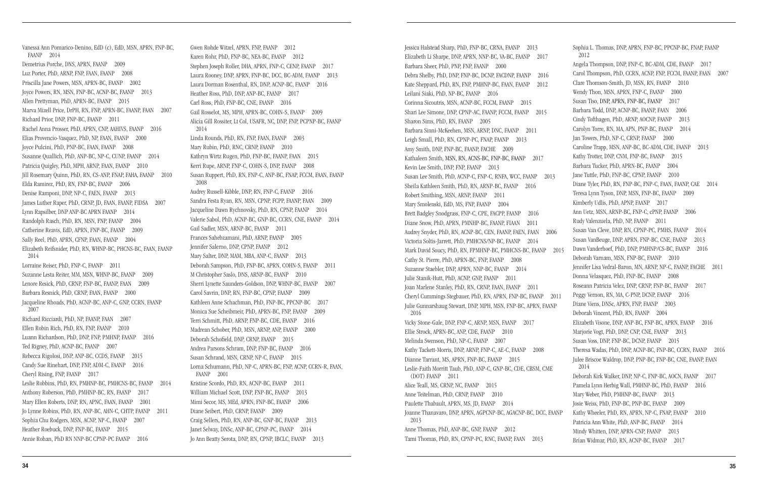Vanessa Ann Pomarico-Denino, EdD (c), EdD, MSN, APRN, FNP-BC, FAANP 2014 Demetrius Porche, DNS, APRN, FAANP 2009 Luz Porter, PhD, ARNP, FNP, FAAN, FAANP 2008 Priscilla Jane Powers, MSN, APRN-BC, FAANP 2002 Joyce Powers, RN, MSN, FNP-BC, ACNP-BC, FAANP 2013 Allen Prettyman, PhD, APRN-BC, FAANP 2015 Marva Mizell Price, DrPH, RN, FNP, APRN-BC, FAANP, FAAN 2007 Richard Prior, DNP, FNP-BC, FAANP 2011 Rachel Anna Prosser, PhD, APRN, CNP, AAHIVS, FAANP 2016 Elias Provencio-Vasquez, PhD, NP, FAAN, FAANP 2000 Joyce Pulcini, PhD, PNP-BC, FAAN, FAANP 2008 Susanne Quallich, PhD, ANP-BC, NP-C, CUNP, FAANP 2014 Patricia Quigley, PhD, MPH, ARNP, FAAN, FAANP 2010 Jill Rosemary Quinn, PhD, RN, CS-ANP, FNAP, FAHA, FAANP 2010 Elda Ramirez, PhD, RN, FNP-BC, FAANP 2006 Denise Ramponi, DNP, NP-C, FAEN, FAANP 2013 James Luther Raper, PhD, CRNP, JD, FAAN, FAANP, FIDSA 2007 Lynn Rapsilber, DNP ANP-BC APRN FAANP 2014 Randolph Rasch, PhD, RN, MSN, FNP, FAANP 2004 Catherine Reavis, EdD, APRN, FNP-BC, FAANP 2009 Sally Reel, PhD, APRN, CFNP, FAAN, FAANP 2004 Elizabeth Reifsnider, PhD, RN, WHNP-BC, PHCNS-BC, FAAN, FAANP 2014 Lorraine Reiser, PhD, FNP-C, FAANP 2011 Suzanne Lesta Reiter, MM, MSN, WHNP-BC, FAANP 2009 Lenore Resick, PhD, CRNP, FNP-BC, FAANP, FAAN 2009 Barbara Resnick, PhD, CRNP, FAAN, FAANP 2000 Jacqueline Rhoads, PhD, ACNP-BC, ANP-C, GNP, CCRN, FAANP 2007 Richard Ricciardi, PhD, NP, FAANP, FAAN 2007 Ellen Robin Rich, PhD, RN, FNP, FAANP 2010 Luann Richardson, PhD, DNP, FNP, PMHNP, FAANP 2016 Ted Rigney, PhD, ACNP-BC, FAANP 2007 Rebecca Rigolosi, DNP, ANP-BC, CCDS, FAANP 2015 Candy Sue Rinehart, DNP, FNP, ADM-C, FAANP 2016 Cheryl Rising, FNP, FAANP 2017 Leslie Robbins, PhD, RN, PMHNP-BC, PMHCNS-BC, FAANP 2014 Anthony Roberson, PhD, PMHNP-BC, RN, FAANP 2017 Mary Ellen Roberts, DNP, RN, APNC, FAAN, FAANP 2001 Jo Lynne Robins, PhD, RN, ANP-BC, AHN-C, CHTP, FAANP 2011 Sophia Chu Rodgers, MSN, ACNP, NP-C, FAANP 2007 Heather Roebuck, DNP, FNP-BC, FAANP 2015 Annie Rohan, PhD RN NNP-BC CPNP-PC FAANP 2016

Gwen Rohde Witzel, APRN, FNP, FAANP 2012 Karen Rohr, PhD, FNP-BC, NEA-BC, FAANP 2012 Stephen Joseph Roller, DHA, APRN, FNP-C, CENP, FAANP 2017 Laura Rooney, DNP, APRN, FNP-BC, DCC, BC-ADM, FAANP 2013 Laura Dorman Rosenthal, RN, DNP, ACNP-BC, FAANP 2016 Heather Ross, PhD, DNP, ANP-BC, FAANP 2017 Carl Ross, PhD, FNP-BC, CNE, FAANP 2016 Gail Rosselot, MS, MPH, APRN-BC, COHN-S, FAANP 2009 Alicia Gill Rossiter, Lt Col, USAFR, NC, DNP, FNP, PCPNP-BC, FAANP 2014 Linda Rounds, PhD, RN, FNP, FAAN, FAANP 2003 Mary Rubin, PhD, RNC, CRNP, FAANP 2010 Kathryn Wirtz Rugen, PhD, FNP-BC, FAANP, FAAN 2015 Kerri Rupe, ARNP, FNP-C, COHN-S, DNP, FAANP 2008 Susan Ruppert, PhD, RN, FNP-C, ANP-BC, FNAP, FCCM, FAAN, FAANP 2008 Audrey Russell-Kibble, DNP, RN, FNP-C, FAANP 2016 Sandra Festa Ryan, RN, MSN, CPNP, FCPP, FAANP, FAAN 2009 Jacqueline Dawn Rychnovsky, PhD, RN, CPNP, FAANP 2014 Valerie Sabol, PhD, ACNP-BC, GNP-BC, CCRN, CNE, FAANP 2014 Gail Sadler, MSN, ARNP-BC, FAANP 2011 Frances Sahebzamani, PhD, ARNP, FAANP 2005 Jennifer Salerno, DNP, CPNP, FAANP 2012 Mary Salter, DNP, MAM, MBA, ANP-C, FAANP 2013 Deborah Sampson, PhD, FNP-BC, APRN, COHN-S, FAANP 2011 M Christopher Saslo, DNS, ARNP-BC, FAANP 2010 Sherri Lynette Saunders-Goldson, DNP, WHNP-BC, FAANP 2007 Carol Savrin, DNP, RN, FNP-BC, CPNP, FAANP 2009 Kathleen Anne Schachman, PhD, FNP-BC, PPCNP-BC 2017 Monica Sue Scheibmeir, PhD, APRN-BC, FNP, FAANP 2009 Terri Schmitt, PhD, ARNP, FNP-BC, CDE, FAANP 2016 Madrean Schober, PhD, MSN, ARNP, ANP, FAANP 2000 Deborah Schofield, DNP, CRNP, FAANP 2015 Andrea Parsons Schram, DNP, FNP-BC, FAANP 2016 Susan Schrand, MSN, CRNP, NP-C, FAANP 2015 Lorna Schumann, PhD, NP-C, APRN-BC, FNP, ACNP, CCRN-R, FAAN, FAANP 2001 Kristine Scordo, PhD, RN, ACNP-BC, FAANP 2011 William Michael Scott, DNP, FNP-BC, FAANP 2013 Mimi Secor, MS, MEd, APRN, FNP-BC, FAANP 2006 Diane Seibert, PhD, CRNP, FAANP 2009 Craig Sellers, PhD, RN, ANP-BC, GNP-BC, FAANP 2013 Janet Selway, DNSc, ANP-BC, CPNP-PC, FAANP 2014 Jo Ann Beatty Serota, DNP, RN, CPNP, IBCLC, FAANP 2013

Jessica Halstead Sharp, PhD, FNP-BC, CRNA, FAANP 2013 Elizabeth Li Sharpe, DNP, APRN, NNP-BC, VA-BC, FAANP 2017 Barbara Sheer, PhD, PNP, FNP, FAANP 2000 Debra Shelby, PhD, DNP, FNP-BC, DCNP, FACDNP, FAANP 2016 Kate Sheppard, PhD, RN, FNP, PMHNP-BC, FAAN, FAANP 2012 Leilani Siaki, PhD, NP-BC, FAANP 2016 Corinna Sicoutris, MSN, ACNP-BC, FCCM, FAANP 2015 Shari Lee Simone, DNP, CPNP-AC, FAANP, FCCM, FAANP 2015 Sharon Sims, PhD, RN, FAANP 2005 Barbara Sinni-McKeehen, MSN, ARNP, DNC, FAANP 2011 Leigh Small, PhD, RN, CPNP-PC, FNAP, FAANP 2013 Amy Smith, DNP, FNP-BC, FAANP, FACHE 2009 Kathaleen Smith, MSN, RN, ACNS-BC, FNP-BC, FAANP 2017 Kevin Lee Smith, DNP, FNP, FAANP 2013 Susan Lee Smith, PhD, ACNP-C, FNP-C, RNFA, WCC, FAANP 2013 Sheila Kathleen Smith, PhD, RN, ARNP-BC, FAANP 2016 Robert Smithing, MSN, ARNP, FAANP 2011 Mary Smolenski, EdD, MS, FNP, FAANP 2004 Brett Badgley Snodgrass, FNP-C, CPE, FACPP, FAANP 2016 Diane Snow, PhD, APRN, PMNHP-BC, FAANP, FIAAN 2011 Audrey Snyder, PhD, RN, ACNP-BC, CEN, FAANP, FAEN, FAAN 2006 Victoria Soltis-Jarrett, PhD, PMHCNS/NP-BC, FAANP 2014 Mark David Soucy, PhD, RN, FPMHNP-BC, PMHCNS-BC, FAANP 2015 Cathy St. Pierre, PhD, APRN-BC, FNP, FAANP 2008 Suzanne Staebler, DNP, APRN, NNP-BC, FAANP 2014 Julie Stanik-Hutt, PhD, ACNP, GNP, FAANP 2011 Joan Marlene Stanley, PhD, RN, CRNP, FAAN, FAANP 2011 Cheryl Cummings Stegbauer, PhD, RN, APRN, FNP-BC, FAANP 2011 Julie Gunnarshaug Stewart, DNP, MPH, MSN, FNP-BC, APRN, FAANP 2016 Vicky Stone-Gale, DNP, FNP-C, ARNP, MSN, FAANP 2017 Ellie Strock, APRN-BC, ANP, CDE, FAANP 2010 Melinda Swenson, PhD, NP-C, FAANP 2007 Kathy Tackett-Morris, DNP, ARNP, FNP-C, AE-C, FAANP 2008 Dianne Tarrant, MS, APRN, FNP-BC, FAANP 2015 Leslie-Faith Morritt Taub, PhD, ANP-C, GNP-BC, CDE, CBSM, CME (DOT) FAANP 2011 Alice Teall, MS, CRNP, NC, FAANP 2015 Anne Teitelman, PhD, CRNP, FAANP 2010 Paulette Thabault, APRN, MS, JD, FAANP 2014 Joanne Thanavaro, DNP, APRN, AGPCNP-BC, AGACNP-BC, DCC, FAANP 2013 Anne Thomas, PhD, ANP-BC, GNP, FAANP 2012 Tami Thomas, PhD, RN, CPNP-PC, RNC, FAANP, FAAN 2013 Sophia L. Thomas, DNP, APRN, FNP-BC, PPCNP-BC, FNAP, FAANP 2012 Angela Thompson, DNP, FNP-C, BC-ADM, CDE, FAANP 2017 Carol Thompson, PhD, CCRN, ACNP, FNP, FCCM, FAANP, FAAN 2007 Clare Thomson-Smith, JD, MSN, RN, FAANP 2010 Wendy Thon, MSN, APRN, FNP-C, FAANP 2000 Susan Tiso, DNP, APRN, FNP-BC, FAANP 2017 Barbara Todd, DNP, ACNP-BC, FAANP, FAAN 2006 Cindy Tofthagen, PhD, ARNP, AOCNP, FAANP 2013 Carolyn Torre, RN, MA, APN, PNP-BC, FAANP 2014 Jan Towers, PhD, NP-C, CRNP, FAANP 2000 Caroline Trapp, MSN, ANP-BC, BC-ADM, CDE, FAANP 2013 Kathy Trotter, DNP, CNM, FNP-BC, FAANP 2015 Barbara Tucker, PhD, APRN-BC, FAANP 2004 Jane Tuttle, PhD, FNP-BC, CPNP, FAANP 2010 Diane Tyler, PhD, RN, FNP-BC, FNP-C, FAAN, FAANP, CAE 2014 Teresa Lynn Tyson, DNP, MSN, FNP-BC, FAANP 2009 Kimberly Udlis, PhD, APNP, FAANP 2017 Ann Uetz, MSN, ARNP-BC, FNP-C, cPNP, FAANP 2006 Rudy Valenzuela, PhD, NP, FAANP 2011 Susan Van Cleve, DNP, RN, CPNP-PC, PMHS, FAANP 2014 Susan VanBeuge, DNP, APRN, FNP-BC, CNE, FAANP 2013 Dawn Vanderhoef, PhD, DNP, PMHNP/CS-BC, FAANP 2016 Deborah Varnam, MSN, FNP-BC, FAANP 2010 Jennifer Lisa Vedral-Baron, MN, ARNP, NP-C, FAANP, FACHE 2011 Donna Velasquez, PhD, FNP-BC, FAANP 2008 Roseann Patricia Velez, DNP, CRNP, FNP-BC, FAANP 2017 Peggy Vernon, RN, MA, C-PNP, DCNP, FAANP 2016 Diane Viens, DNSc, APRN, FNP, FAANP 2003 Deborah Vincent, PhD, RN, FAANP 2004 Elizabeth Visone, DNP, ANP-BC, FNP-BC, APRN, FAANP 2016 Marjorie Vogt, PhD, DNP, CNP, CNE, FAANP 2013 Susan Voss, DNP, FNP-BC, DCNP, FAANP 2015 Theresa Wadas, PhD, DNP, ACNP-BC, FNP-BC, CCRN, FAANP 2016 Julee Briscoe Waldrop, DNP, PNP-BC, FNP-BC, CNE, FAANP, FAAN 2014 Deborah Kirk Walker, DNP, NP-C, FNP-BC, AOCN, FAANP 2017 Pamela Lynn Herbig Wall, PMHNP-BC, PhD, FAANP 2016 Mary Weber, PhD, PMHNP-BC, FAANP 2013 Josie Weiss, PhD, FNP-BC, PNP-BC, FAANP 2009 Kathy Wheeler, PhD, RN, APRN, NP-C, FNAP, FAANP 2010 Patricia Ann White, PhD, ANP-BC, FAANP 2014 Mindy Whitten, DNP, APRN-CNP, FAANP 2013 Brian Widmar, PhD, RN, ACNP-BC, FAANP 2017